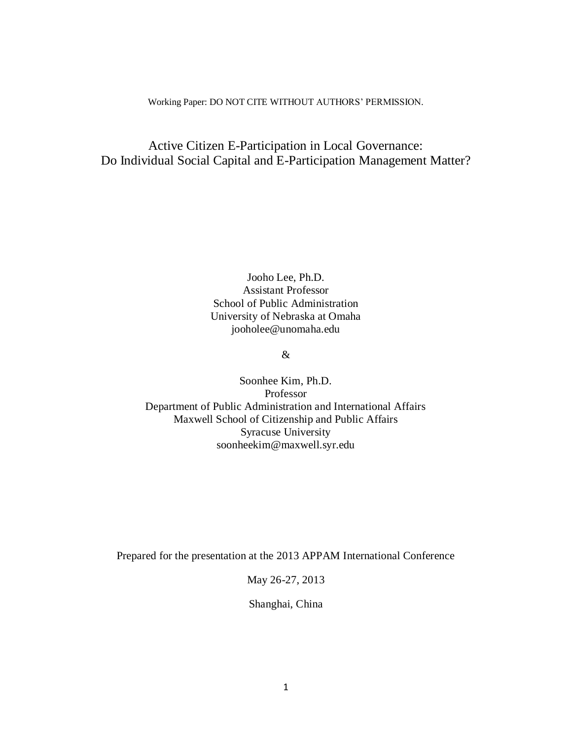#### Working Paper: DO NOT CITE WITHOUT AUTHORS' PERMISSION.

## Active Citizen E-Participation in Local Governance: Do Individual Social Capital and E-Participation Management Matter?

Jooho Lee, Ph.D. Assistant Professor School of Public Administration University of Nebraska at Omaha jooholee@unomaha.edu

## &

Soonhee Kim, Ph.D. Professor Department of Public Administration and International Affairs Maxwell School of Citizenship and Public Affairs Syracuse University soonheekim@maxwell.syr.edu

Prepared for the presentation at the 2013 APPAM International Conference

May 26-27, 2013

Shanghai, China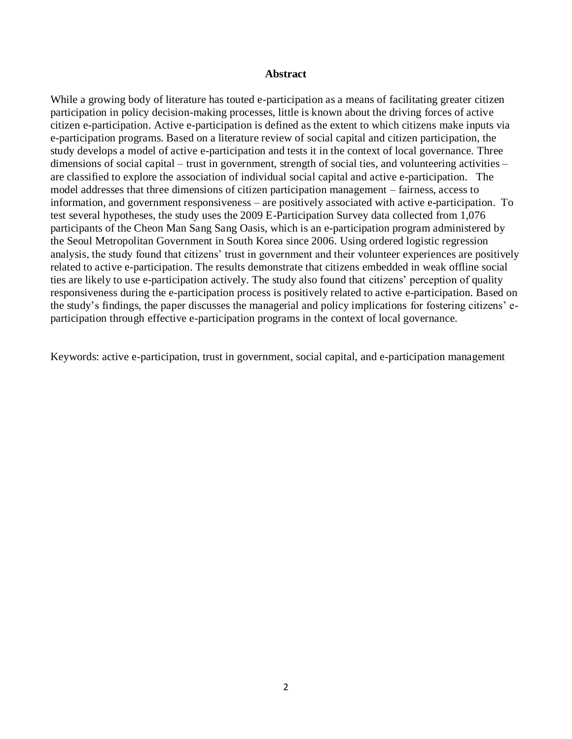#### **Abstract**

While a growing body of literature has touted e-participation as a means of facilitating greater citizen participation in policy decision-making processes, little is known about the driving forces of active citizen e-participation. Active e-participation is defined as the extent to which citizens make inputs via e-participation programs. Based on a literature review of social capital and citizen participation, the study develops a model of active e-participation and tests it in the context of local governance. Three dimensions of social capital – trust in government, strength of social ties, and volunteering activities – are classified to explore the association of individual social capital and active e-participation. The model addresses that three dimensions of citizen participation management – fairness, access to information, and government responsiveness – are positively associated with active e-participation. To test several hypotheses, the study uses the 2009 E-Participation Survey data collected from 1,076 participants of the Cheon Man Sang Sang Oasis, which is an e-participation program administered by the Seoul Metropolitan Government in South Korea since 2006. Using ordered logistic regression analysis, the study found that citizens' trust in government and their volunteer experiences are positively related to active e-participation. The results demonstrate that citizens embedded in weak offline social ties are likely to use e-participation actively. The study also found that citizens' perception of quality responsiveness during the e-participation process is positively related to active e-participation. Based on the study's findings, the paper discusses the managerial and policy implications for fostering citizens' eparticipation through effective e-participation programs in the context of local governance.

Keywords: active e-participation, trust in government, social capital, and e-participation management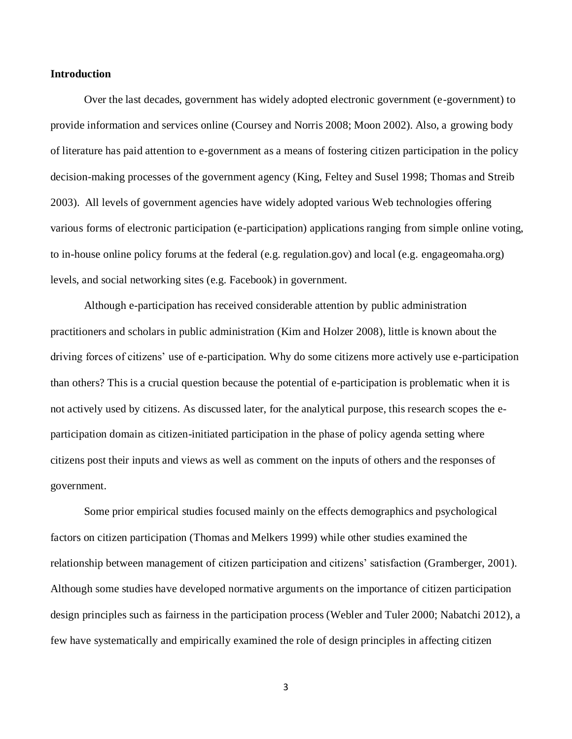#### **Introduction**

Over the last decades, government has widely adopted electronic government (e-government) to provide information and services online (Coursey and Norris 2008; Moon 2002). Also, a growing body of literature has paid attention to e-government as a means of fostering citizen participation in the policy decision-making processes of the government agency (King, Feltey and Susel 1998; Thomas and Streib 2003). All levels of government agencies have widely adopted various Web technologies offering various forms of electronic participation (e-participation) applications ranging from simple online voting, to in-house online policy forums at the federal (e.g. regulation.gov) and local (e.g. engageomaha.org) levels, and social networking sites (e.g. Facebook) in government.

Although e-participation has received considerable attention by public administration practitioners and scholars in public administration (Kim and Holzer 2008), little is known about the driving forces of citizens' use of e-participation. Why do some citizens more actively use e-participation than others? This is a crucial question because the potential of e-participation is problematic when it is not actively used by citizens. As discussed later, for the analytical purpose, this research scopes the eparticipation domain as citizen-initiated participation in the phase of policy agenda setting where citizens post their inputs and views as well as comment on the inputs of others and the responses of government.

Some prior empirical studies focused mainly on the effects demographics and psychological factors on citizen participation (Thomas and Melkers 1999) while other studies examined the relationship between management of citizen participation and citizens' satisfaction (Gramberger, 2001). Although some studies have developed normative arguments on the importance of citizen participation design principles such as fairness in the participation process (Webler and Tuler 2000; Nabatchi 2012), a few have systematically and empirically examined the role of design principles in affecting citizen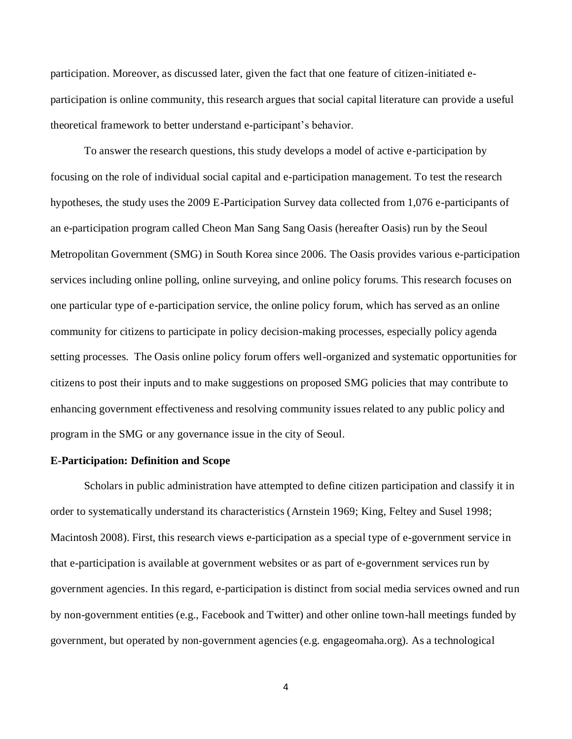participation. Moreover, as discussed later, given the fact that one feature of citizen-initiated eparticipation is online community, this research argues that social capital literature can provide a useful theoretical framework to better understand e-participant's behavior.

To answer the research questions, this study develops a model of active e-participation by focusing on the role of individual social capital and e-participation management. To test the research hypotheses, the study uses the 2009 E-Participation Survey data collected from 1,076 e-participants of an e-participation program called Cheon Man Sang Sang Oasis (hereafter Oasis) run by the Seoul Metropolitan Government (SMG) in South Korea since 2006. The Oasis provides various e-participation services including online polling, online surveying, and online policy forums. This research focuses on one particular type of e-participation service, the online policy forum, which has served as an online community for citizens to participate in policy decision-making processes, especially policy agenda setting processes. The Oasis online policy forum offers well-organized and systematic opportunities for citizens to post their inputs and to make suggestions on proposed SMG policies that may contribute to enhancing government effectiveness and resolving community issues related to any public policy and program in the SMG or any governance issue in the city of Seoul.

#### **E-Participation: Definition and Scope**

Scholars in public administration have attempted to define citizen participation and classify it in order to systematically understand its characteristics (Arnstein 1969; King, Feltey and Susel 1998; Macintosh 2008). First, this research views e-participation as a special type of e-government service in that e-participation is available at government websites or as part of e-government services run by government agencies. In this regard, e-participation is distinct from social media services owned and run by non-government entities (e.g., Facebook and Twitter) and other online town-hall meetings funded by government, but operated by non-government agencies (e.g. engageomaha.org). As a technological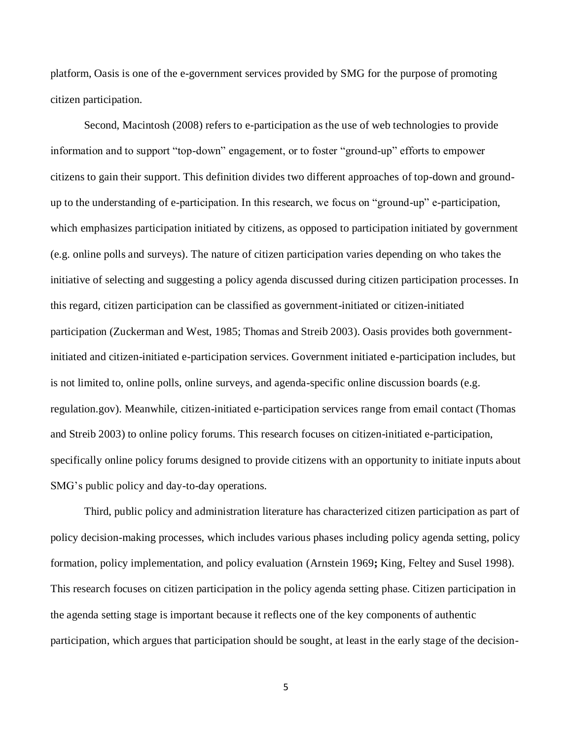platform, Oasis is one of the e-government services provided by SMG for the purpose of promoting citizen participation.

Second, Macintosh (2008) refers to e-participation as the use of web technologies to provide information and to support "top-down" engagement, or to foster "ground-up" efforts to empower citizens to gain their support. This definition divides two different approaches of top-down and groundup to the understanding of e-participation. In this research, we focus on "ground-up" e-participation, which emphasizes participation initiated by citizens, as opposed to participation initiated by government (e.g. online polls and surveys). The nature of citizen participation varies depending on who takes the initiative of selecting and suggesting a policy agenda discussed during citizen participation processes. In this regard, citizen participation can be classified as government-initiated or citizen-initiated participation (Zuckerman and West, 1985; Thomas and Streib 2003). Oasis provides both governmentinitiated and citizen-initiated e-participation services. Government initiated e-participation includes, but is not limited to, online polls, online surveys, and agenda-specific online discussion boards (e.g. regulation.gov). Meanwhile, citizen-initiated e-participation services range from email contact (Thomas and Streib 2003) to online policy forums. This research focuses on citizen-initiated e-participation, specifically online policy forums designed to provide citizens with an opportunity to initiate inputs about SMG's public policy and day-to-day operations.

Third, public policy and administration literature has characterized citizen participation as part of policy decision-making processes, which includes various phases including policy agenda setting, policy formation, policy implementation, and policy evaluation (Arnstein 1969**;** King, Feltey and Susel 1998). This research focuses on citizen participation in the policy agenda setting phase. Citizen participation in the agenda setting stage is important because it reflects one of the key components of authentic participation, which argues that participation should be sought, at least in the early stage of the decision-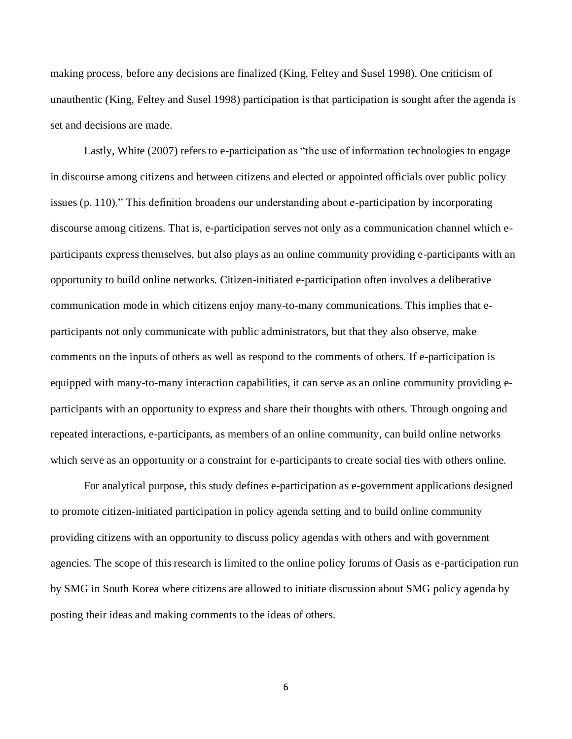making process, before any decisions are finalized (King, Feltey and Susel 1998). One criticism of unauthentic (King, Feltey and Susel 1998) participation is that participation is sought after the agenda is set and decisions are made.

Lastly, White (2007) refers to e-participation as "the use of information technologies to engage in discourse among citizens and between citizens and elected or appointed officials over public policy issues (p. 110)." This definition broadens our understanding about e-participation by incorporating discourse among citizens. That is, e-participation serves not only as a communication channel which eparticipants express themselves, but also plays as an online community providing e-participants with an opportunity to build online networks. Citizen-initiated e-participation often involves a deliberative communication mode in which citizens enjoy many-to-many communications. This implies that eparticipants not only communicate with public administrators, but that they also observe, make comments on the inputs of others as well as respond to the comments of others. If e-participation is equipped with many-to-many interaction capabilities, it can serve as an online community providing eparticipants with an opportunity to express and share their thoughts with others. Through ongoing and repeated interactions, e-participants, as members of an online community, can build online networks which serve as an opportunity or a constraint for e-participants to create social ties with others online.

For analytical purpose, this study defines e-participation as e-government applications designed to promote citizen-initiated participation in policy agenda setting and to build online community providing citizens with an opportunity to discuss policy agendas with others and with government agencies. The scope of this research is limited to the online policy forums of Oasis as e-participation run by SMG in South Korea where citizens are allowed to initiate discussion about SMG policy agenda by posting their ideas and making comments to the ideas of others.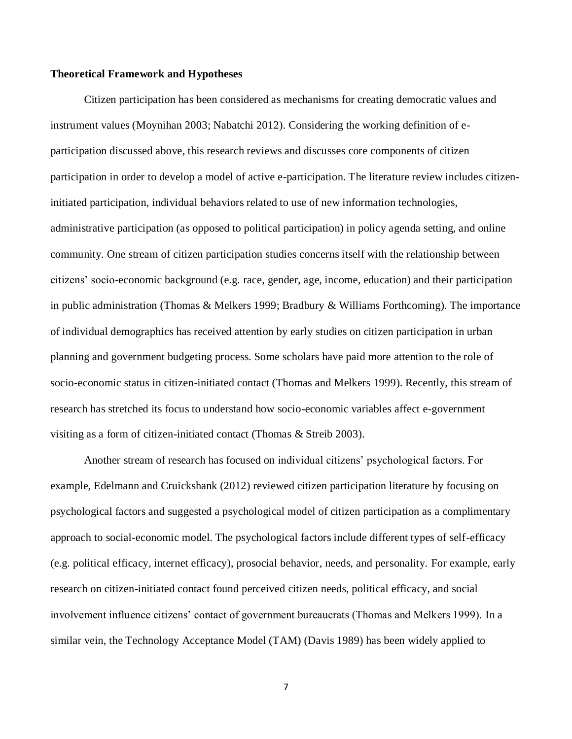#### **Theoretical Framework and Hypotheses**

Citizen participation has been considered as mechanisms for creating democratic values and instrument values (Moynihan 2003; Nabatchi 2012). Considering the working definition of eparticipation discussed above, this research reviews and discusses core components of citizen participation in order to develop a model of active e-participation. The literature review includes citizeninitiated participation, individual behaviors related to use of new information technologies, administrative participation (as opposed to political participation) in policy agenda setting, and online community. One stream of citizen participation studies concerns itself with the relationship between citizens' socio-economic background (e.g. race, gender, age, income, education) and their participation in public administration (Thomas & Melkers 1999; Bradbury & Williams Forthcoming). The importance of individual demographics has received attention by early studies on citizen participation in urban planning and government budgeting process. Some scholars have paid more attention to the role of socio-economic status in citizen-initiated contact (Thomas and Melkers 1999). Recently, this stream of research has stretched its focus to understand how socio-economic variables affect e-government visiting as a form of citizen-initiated contact (Thomas & Streib 2003).

Another stream of research has focused on individual citizens' psychological factors. For example, Edelmann and Cruickshank (2012) reviewed citizen participation literature by focusing on psychological factors and suggested a psychological model of citizen participation as a complimentary approach to social-economic model. The psychological factors include different types of self-efficacy (e.g. political efficacy, internet efficacy), prosocial behavior, needs, and personality. For example, early research on citizen-initiated contact found perceived citizen needs, political efficacy, and social involvement influence citizens' contact of government bureaucrats (Thomas and Melkers 1999). In a similar vein, the Technology Acceptance Model (TAM) (Davis 1989) has been widely applied to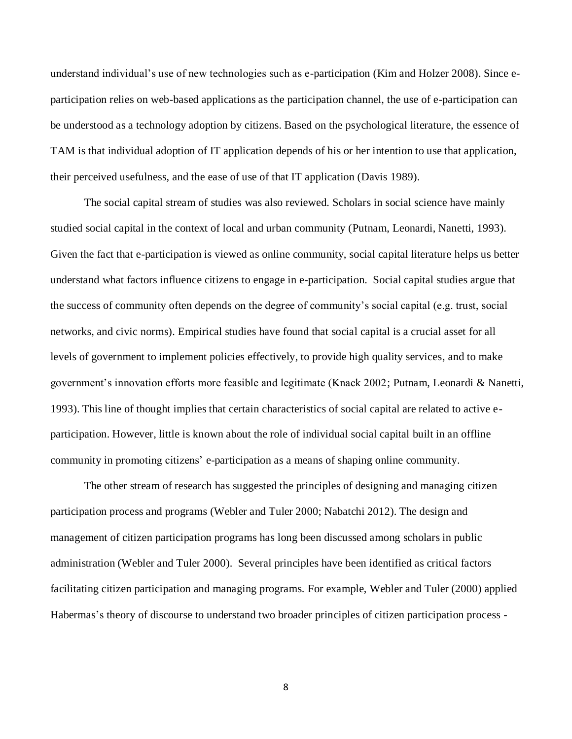understand individual's use of new technologies such as e-participation (Kim and Holzer 2008). Since eparticipation relies on web-based applications as the participation channel, the use of e-participation can be understood as a technology adoption by citizens. Based on the psychological literature, the essence of TAM is that individual adoption of IT application depends of his or her intention to use that application, their perceived usefulness, and the ease of use of that IT application (Davis 1989).

The social capital stream of studies was also reviewed. Scholars in social science have mainly studied social capital in the context of local and urban community (Putnam, Leonardi, Nanetti, 1993). Given the fact that e-participation is viewed as online community, social capital literature helps us better understand what factors influence citizens to engage in e-participation. Social capital studies argue that the success of community often depends on the degree of community's social capital (e.g. trust, social networks, and civic norms). Empirical studies have found that social capital is a crucial asset for all levels of government to implement policies effectively, to provide high quality services, and to make government's innovation efforts more feasible and legitimate (Knack 2002; Putnam, Leonardi & Nanetti, 1993). This line of thought implies that certain characteristics of social capital are related to active eparticipation. However, little is known about the role of individual social capital built in an offline community in promoting citizens' e-participation as a means of shaping online community.

The other stream of research has suggested the principles of designing and managing citizen participation process and programs (Webler and Tuler 2000; Nabatchi 2012). The design and management of citizen participation programs has long been discussed among scholars in public administration (Webler and Tuler 2000). Several principles have been identified as critical factors facilitating citizen participation and managing programs. For example, Webler and Tuler (2000) applied Habermas's theory of discourse to understand two broader principles of citizen participation process -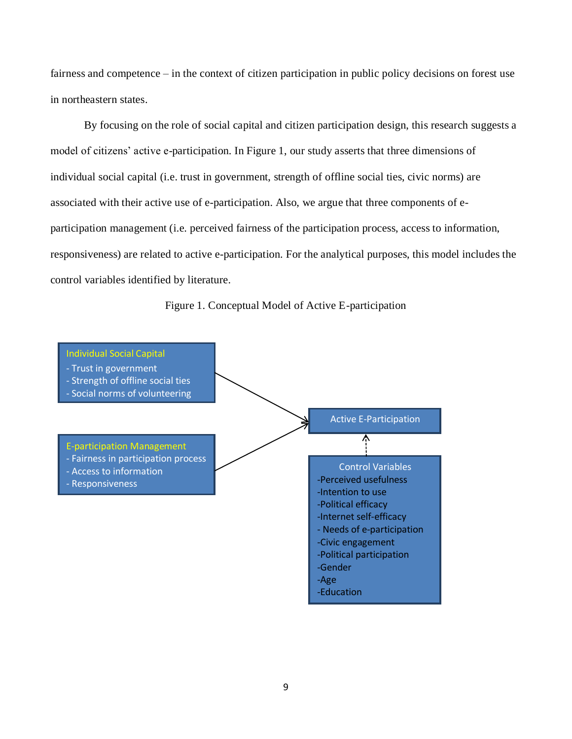fairness and competence – in the context of citizen participation in public policy decisions on forest use in northeastern states.

By focusing on the role of social capital and citizen participation design, this research suggests a model of citizens' active e-participation. In Figure 1, our study asserts that three dimensions of individual social capital (i.e. trust in government, strength of offline social ties, civic norms) are associated with their active use of e-participation. Also, we argue that three components of eparticipation management (i.e. perceived fairness of the participation process, access to information, responsiveness) are related to active e-participation. For the analytical purposes, this model includes the control variables identified by literature.

Figure 1. Conceptual Model of Active E-participation

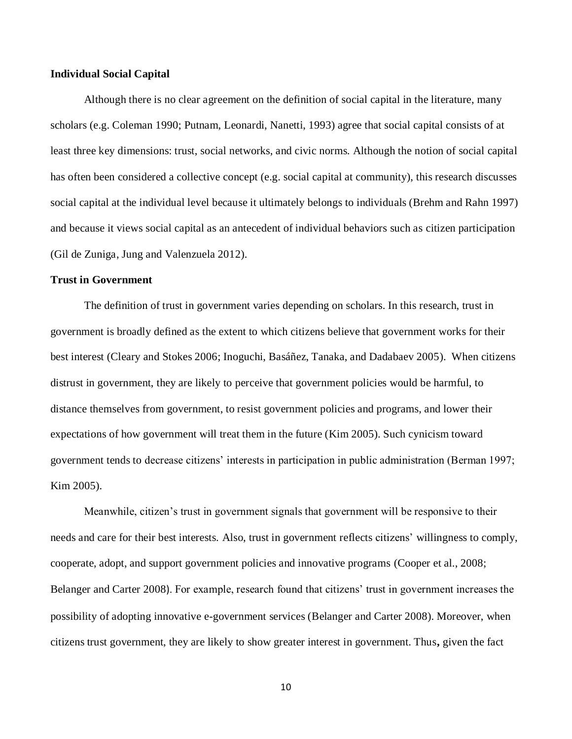#### **Individual Social Capital**

Although there is no clear agreement on the definition of social capital in the literature, many scholars (e.g. Coleman 1990; Putnam, Leonardi, Nanetti, 1993) agree that social capital consists of at least three key dimensions: trust, social networks, and civic norms. Although the notion of social capital has often been considered a collective concept (e.g. social capital at community), this research discusses social capital at the individual level because it ultimately belongs to individuals (Brehm and Rahn 1997) and because it views social capital as an antecedent of individual behaviors such as citizen participation (Gil de Zuniga, Jung and Valenzuela 2012).

#### **Trust in Government**

The definition of trust in government varies depending on scholars. In this research, trust in government is broadly defined as the extent to which citizens believe that government works for their best interest (Cleary and Stokes 2006; Inoguchi, Basáñez, Tanaka, and Dadabaev 2005). When citizens distrust in government, they are likely to perceive that government policies would be harmful, to distance themselves from government, to resist government policies and programs, and lower their expectations of how government will treat them in the future (Kim 2005). Such cynicism toward government tends to decrease citizens' interests in participation in public administration (Berman 1997; Kim 2005).

Meanwhile, citizen's trust in government signals that government will be responsive to their needs and care for their best interests. Also, trust in government reflects citizens' willingness to comply, cooperate, adopt, and support government policies and innovative programs (Cooper et al., 2008; Belanger and Carter 2008). For example, research found that citizens' trust in government increases the possibility of adopting innovative e-government services (Belanger and Carter 2008). Moreover, when citizens trust government, they are likely to show greater interest in government. Thus**,** given the fact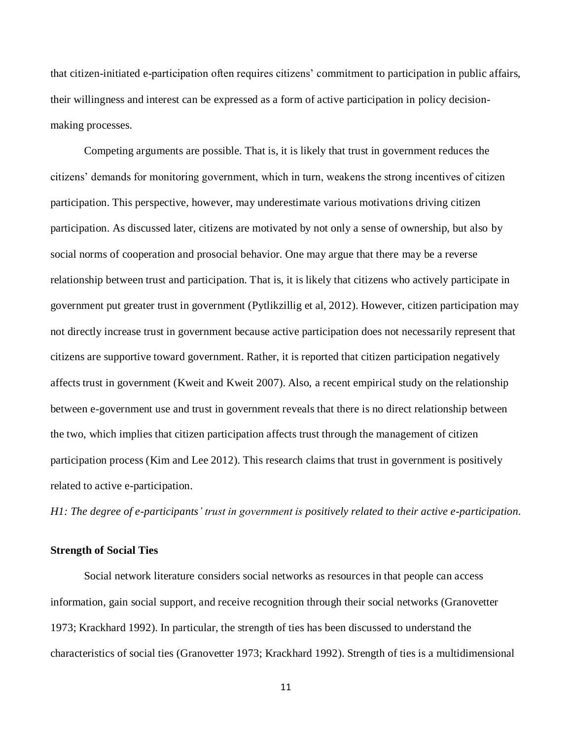that citizen-initiated e-participation often requires citizens' commitment to participation in public affairs, their willingness and interest can be expressed as a form of active participation in policy decisionmaking processes.

Competing arguments are possible. That is, it is likely that trust in government reduces the citizens' demands for monitoring government, which in turn, weakens the strong incentives of citizen participation. This perspective, however, may underestimate various motivations driving citizen participation. As discussed later, citizens are motivated by not only a sense of ownership, but also by social norms of cooperation and prosocial behavior. One may argue that there may be a reverse relationship between trust and participation. That is, it is likely that citizens who actively participate in government put greater trust in government (Pytlikzillig et al, 2012). However, citizen participation may not directly increase trust in government because active participation does not necessarily represent that citizens are supportive toward government. Rather, it is reported that citizen participation negatively affects trust in government (Kweit and Kweit 2007). Also, a recent empirical study on the relationship between e-government use and trust in government reveals that there is no direct relationship between the two, which implies that citizen participation affects trust through the management of citizen participation process (Kim and Lee 2012). This research claims that trust in government is positively related to active e-participation.

*H1: The degree of e-participants' trust in government is positively related to their active e-participation.*

## **Strength of Social Ties**

Social network literature considers social networks as resources in that people can access information, gain social support, and receive recognition through their social networks (Granovetter 1973; Krackhard 1992). In particular, the strength of ties has been discussed to understand the characteristics of social ties (Granovetter 1973; Krackhard 1992). Strength of ties is a multidimensional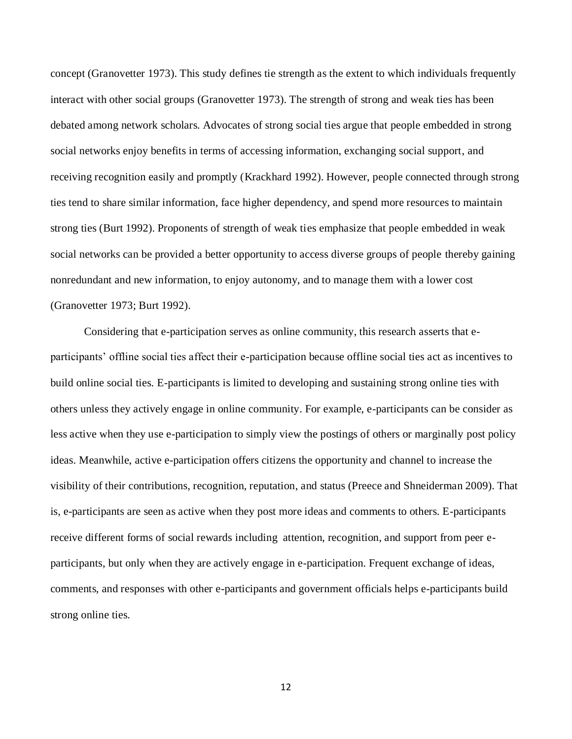concept (Granovetter 1973). This study defines tie strength as the extent to which individuals frequently interact with other social groups (Granovetter 1973). The strength of strong and weak ties has been debated among network scholars. Advocates of strong social ties argue that people embedded in strong social networks enjoy benefits in terms of accessing information, exchanging social support, and receiving recognition easily and promptly (Krackhard 1992). However, people connected through strong ties tend to share similar information, face higher dependency, and spend more resources to maintain strong ties (Burt 1992). Proponents of strength of weak ties emphasize that people embedded in weak social networks can be provided a better opportunity to access diverse groups of people thereby gaining nonredundant and new information, to enjoy autonomy, and to manage them with a lower cost (Granovetter 1973; Burt 1992).

Considering that e-participation serves as online community, this research asserts that eparticipants' offline social ties affect their e-participation because offline social ties act as incentives to build online social ties. E-participants is limited to developing and sustaining strong online ties with others unless they actively engage in online community. For example, e-participants can be consider as less active when they use e-participation to simply view the postings of others or marginally post policy ideas. Meanwhile, active e-participation offers citizens the opportunity and channel to increase the visibility of their contributions, recognition, reputation, and status (Preece and Shneiderman 2009). That is, e-participants are seen as active when they post more ideas and comments to others. E-participants receive different forms of social rewards including attention, recognition, and support from peer eparticipants, but only when they are actively engage in e-participation. Frequent exchange of ideas, comments, and responses with other e-participants and government officials helps e-participants build strong online ties.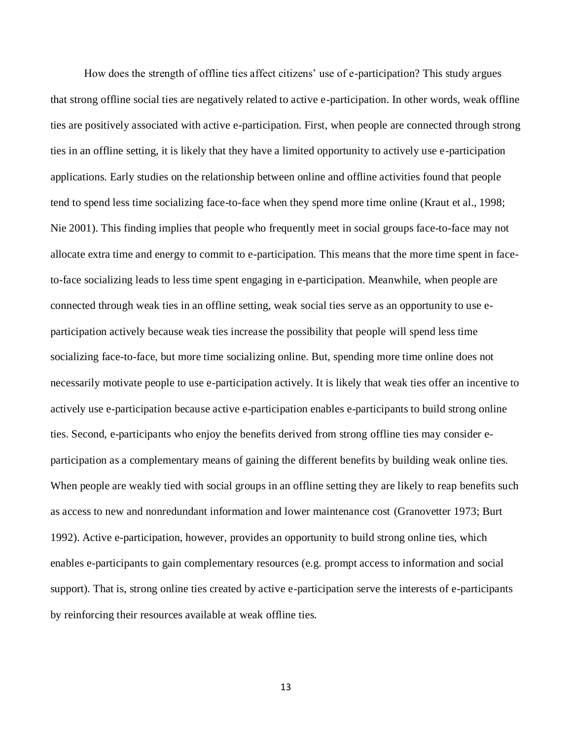How does the strength of offline ties affect citizens' use of e-participation? This study argues that strong offline social ties are negatively related to active e-participation. In other words, weak offline ties are positively associated with active e-participation. First, when people are connected through strong ties in an offline setting, it is likely that they have a limited opportunity to actively use e-participation applications. Early studies on the relationship between online and offline activities found that people tend to spend less time socializing face-to-face when they spend more time online (Kraut et al., 1998; Nie 2001). This finding implies that people who frequently meet in social groups face-to-face may not allocate extra time and energy to commit to e-participation. This means that the more time spent in faceto-face socializing leads to less time spent engaging in e-participation. Meanwhile, when people are connected through weak ties in an offline setting, weak social ties serve as an opportunity to use eparticipation actively because weak ties increase the possibility that people will spend less time socializing face-to-face, but more time socializing online. But, spending more time online does not necessarily motivate people to use e-participation actively. It is likely that weak ties offer an incentive to actively use e-participation because active e-participation enables e-participants to build strong online ties. Second, e-participants who enjoy the benefits derived from strong offline ties may consider eparticipation as a complementary means of gaining the different benefits by building weak online ties. When people are weakly tied with social groups in an offline setting they are likely to reap benefits such as access to new and nonredundant information and lower maintenance cost (Granovetter 1973; Burt 1992). Active e-participation, however, provides an opportunity to build strong online ties, which enables e-participants to gain complementary resources (e.g. prompt access to information and social support). That is, strong online ties created by active e-participation serve the interests of e-participants by reinforcing their resources available at weak offline ties.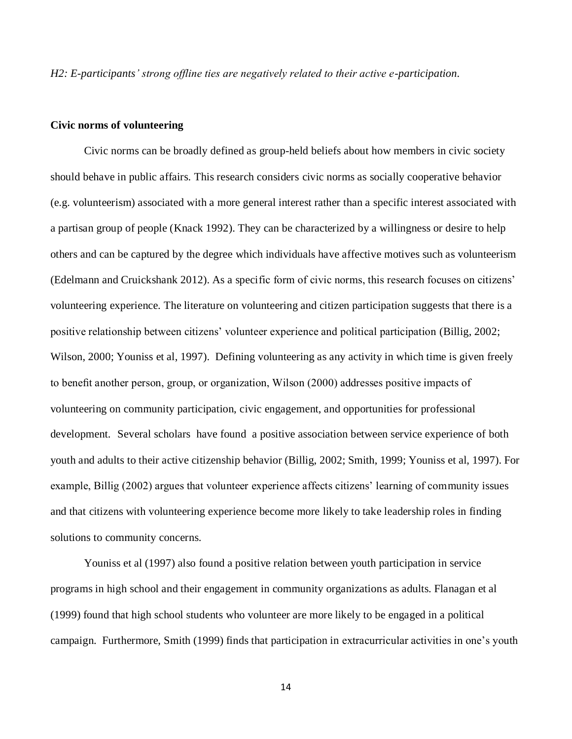*H2: E-participants' strong offline ties are negatively related to their active e-participation.*

#### **Civic norms of volunteering**

Civic norms can be broadly defined as group-held beliefs about how members in civic society should behave in public affairs. This research considers civic norms as socially cooperative behavior (e.g. volunteerism) associated with a more general interest rather than a specific interest associated with a partisan group of people (Knack 1992). They can be characterized by a willingness or desire to help others and can be captured by the degree which individuals have affective motives such as volunteerism (Edelmann and Cruickshank 2012). As a specific form of civic norms, this research focuses on citizens' volunteering experience. The literature on volunteering and citizen participation suggests that there is a positive relationship between citizens' volunteer experience and political participation (Billig, 2002; Wilson, 2000; Youniss et al, 1997). Defining volunteering as any activity in which time is given freely to benefit another person, group, or organization, Wilson (2000) addresses positive impacts of volunteering on community participation, civic engagement, and opportunities for professional development. Several scholars have found a positive association between service experience of both youth and adults to their active citizenship behavior (Billig, 2002; Smith, 1999; Youniss et al, 1997). For example, Billig (2002) argues that volunteer experience affects citizens' learning of community issues and that citizens with volunteering experience become more likely to take leadership roles in finding solutions to community concerns.

Youniss et al (1997) also found a positive relation between youth participation in service programs in high school and their engagement in community organizations as adults. Flanagan et al (1999) found that high school students who volunteer are more likely to be engaged in a political campaign. Furthermore, Smith (1999) finds that participation in extracurricular activities in one's youth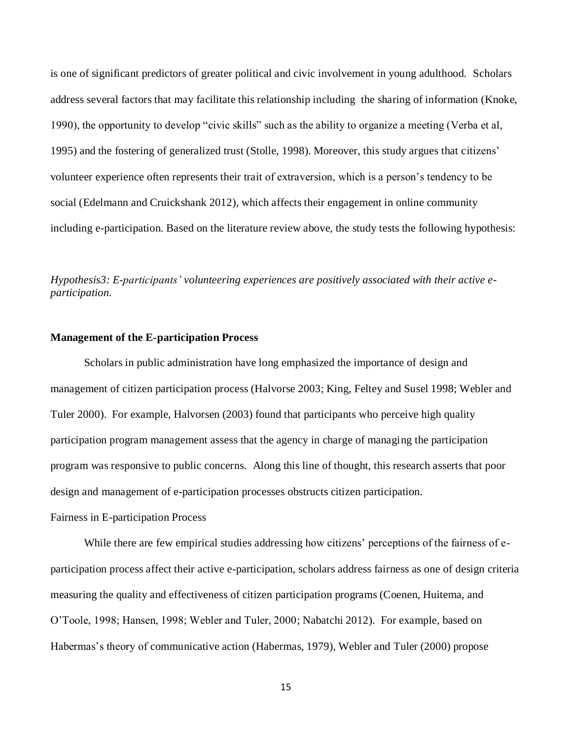is one of significant predictors of greater political and civic involvement in young adulthood. Scholars address several factors that may facilitate this relationship including the sharing of information (Knoke, 1990), the opportunity to develop "civic skills" such as the ability to organize a meeting (Verba et al, 1995) and the fostering of generalized trust (Stolle, 1998). Moreover, this study argues that citizens' volunteer experience often represents their trait of extraversion, which is a person's tendency to be social (Edelmann and Cruickshank 2012), which affects their engagement in online community including e-participation. Based on the literature review above, the study tests the following hypothesis:

*Hypothesis3: E-participants' volunteering experiences are positively associated with their active eparticipation.*

#### **Management of the E-participation Process**

Scholars in public administration have long emphasized the importance of design and management of citizen participation process (Halvorse 2003; King, Feltey and Susel 1998; Webler and Tuler 2000). For example, Halvorsen (2003) found that participants who perceive high quality participation program management assess that the agency in charge of managing the participation program was responsive to public concerns. Along this line of thought, this research asserts that poor design and management of e-participation processes obstructs citizen participation. Fairness in E-participation Process

While there are few empirical studies addressing how citizens' perceptions of the fairness of eparticipation process affect their active e-participation, scholars address fairness as one of design criteria measuring the quality and effectiveness of citizen participation programs (Coenen, Huitema, and O'Toole, 1998; Hansen, 1998; Webler and Tuler, 2000; Nabatchi 2012). For example, based on Habermas's theory of communicative action (Habermas, 1979), Webler and Tuler (2000) propose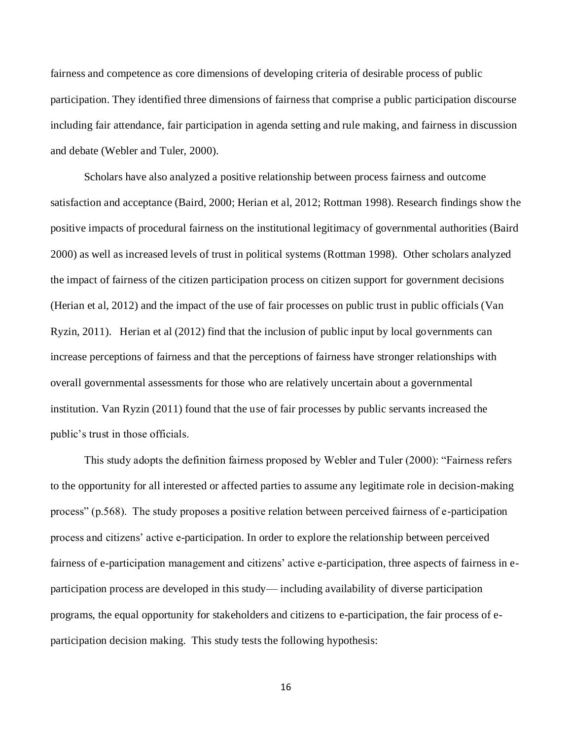fairness and competence as core dimensions of developing criteria of desirable process of public participation. They identified three dimensions of fairness that comprise a public participation discourse including fair attendance, fair participation in agenda setting and rule making, and fairness in discussion and debate (Webler and Tuler, 2000).

Scholars have also analyzed a positive relationship between process fairness and outcome satisfaction and acceptance (Baird, 2000; Herian et al, 2012; Rottman 1998). Research findings show the positive impacts of procedural fairness on the institutional legitimacy of governmental authorities (Baird 2000) as well as increased levels of trust in political systems (Rottman 1998). Other scholars analyzed the impact of fairness of the citizen participation process on citizen support for government decisions (Herian et al, 2012) and the impact of the use of fair processes on public trust in public officials (Van Ryzin, 2011). Herian et al (2012) find that the inclusion of public input by local governments can increase perceptions of fairness and that the perceptions of fairness have stronger relationships with overall governmental assessments for those who are relatively uncertain about a governmental institution. Van Ryzin (2011) found that the use of fair processes by public servants increased the public's trust in those officials.

This study adopts the definition fairness proposed by Webler and Tuler (2000): "Fairness refers to the opportunity for all interested or affected parties to assume any legitimate role in decision-making process" (p.568). The study proposes a positive relation between perceived fairness of e-participation process and citizens' active e-participation. In order to explore the relationship between perceived fairness of e-participation management and citizens' active e-participation, three aspects of fairness in eparticipation process are developed in this study— including availability of diverse participation programs, the equal opportunity for stakeholders and citizens to e-participation, the fair process of eparticipation decision making. This study tests the following hypothesis: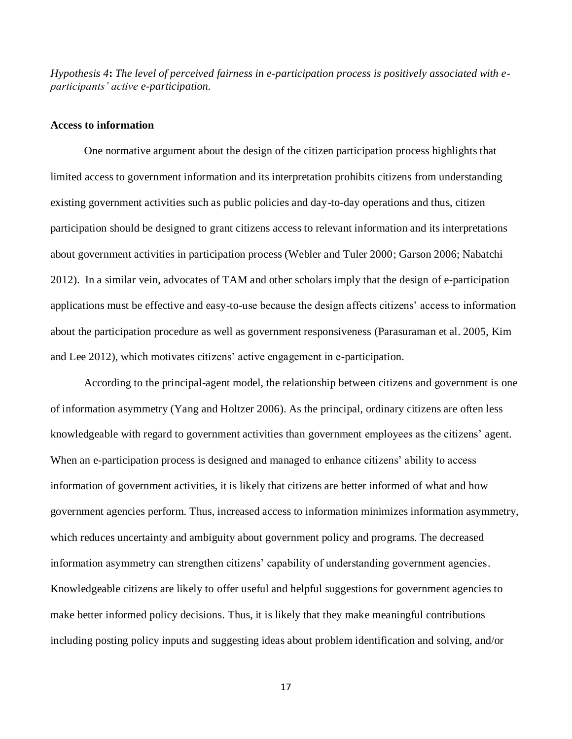*Hypothesis 4***:** *The level of perceived fairness in e-participation process is positively associated with eparticipants' active e-participation.*

## **Access to information**

One normative argument about the design of the citizen participation process highlights that limited access to government information and its interpretation prohibits citizens from understanding existing government activities such as public policies and day-to-day operations and thus, citizen participation should be designed to grant citizens access to relevant information and its interpretations about government activities in participation process (Webler and Tuler 2000; Garson 2006; Nabatchi 2012). In a similar vein, advocates of TAM and other scholars imply that the design of e-participation applications must be effective and easy-to-use because the design affects citizens' access to information about the participation procedure as well as government responsiveness (Parasuraman et al. 2005, Kim and Lee 2012), which motivates citizens' active engagement in e-participation.

According to the principal-agent model, the relationship between citizens and government is one of information asymmetry (Yang and Holtzer 2006). As the principal, ordinary citizens are often less knowledgeable with regard to government activities than government employees as the citizens' agent. When an e-participation process is designed and managed to enhance citizens' ability to access information of government activities, it is likely that citizens are better informed of what and how government agencies perform. Thus, increased access to information minimizes information asymmetry, which reduces uncertainty and ambiguity about government policy and programs. The decreased information asymmetry can strengthen citizens' capability of understanding government agencies. Knowledgeable citizens are likely to offer useful and helpful suggestions for government agencies to make better informed policy decisions. Thus, it is likely that they make meaningful contributions including posting policy inputs and suggesting ideas about problem identification and solving, and/or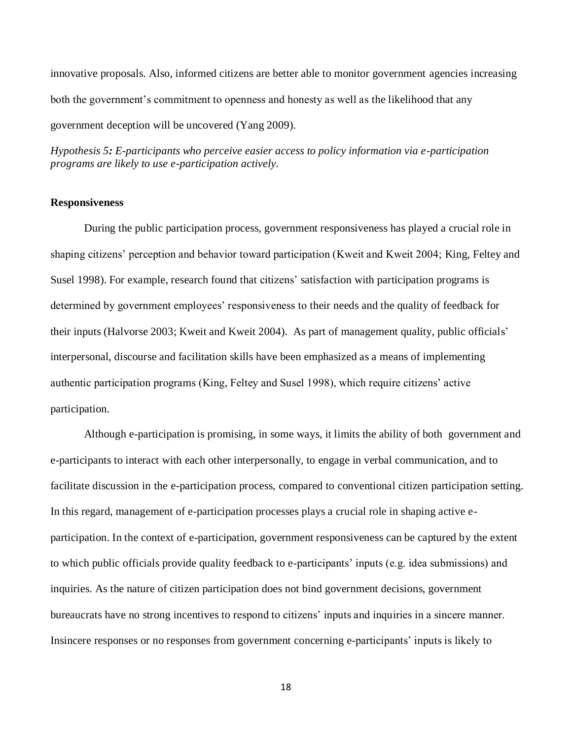innovative proposals. Also, informed citizens are better able to monitor government agencies increasing both the government's commitment to openness and honesty as well as the likelihood that any government deception will be uncovered (Yang 2009).

*Hypothesis 5: E-participants who perceive easier access to policy information via e-participation programs are likely to use e-participation actively.*

#### **Responsiveness**

During the public participation process, government responsiveness has played a crucial role in shaping citizens' perception and behavior toward participation (Kweit and Kweit 2004; King, Feltey and Susel 1998). For example, research found that citizens' satisfaction with participation programs is determined by government employees' responsiveness to their needs and the quality of feedback for their inputs (Halvorse 2003; Kweit and Kweit 2004). As part of management quality, public officials' interpersonal, discourse and facilitation skills have been emphasized as a means of implementing authentic participation programs (King, Feltey and Susel 1998), which require citizens' active participation.

Although e-participation is promising, in some ways, it limits the ability of both government and e-participants to interact with each other interpersonally, to engage in verbal communication, and to facilitate discussion in the e-participation process, compared to conventional citizen participation setting. In this regard, management of e-participation processes plays a crucial role in shaping active eparticipation. In the context of e-participation, government responsiveness can be captured by the extent to which public officials provide quality feedback to e-participants' inputs (e.g. idea submissions) and inquiries. As the nature of citizen participation does not bind government decisions, government bureaucrats have no strong incentives to respond to citizens' inputs and inquiries in a sincere manner. Insincere responses or no responses from government concerning e-participants' inputs is likely to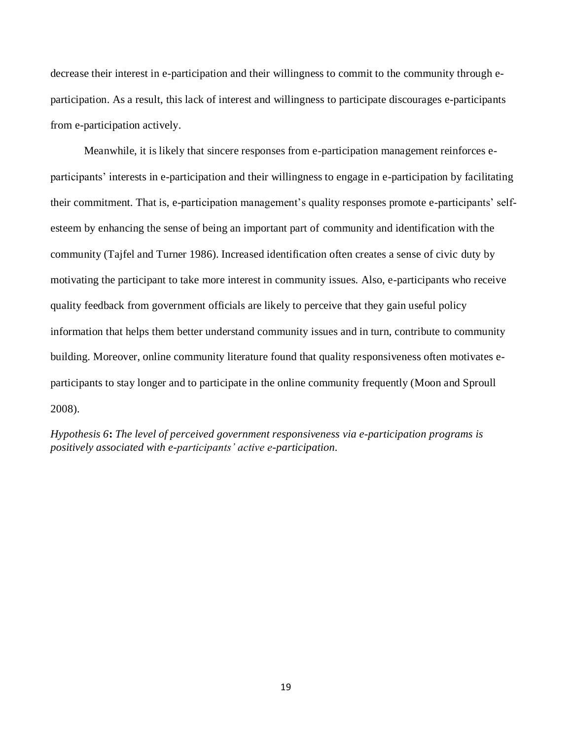decrease their interest in e-participation and their willingness to commit to the community through eparticipation. As a result, this lack of interest and willingness to participate discourages e-participants from e-participation actively.

Meanwhile, it is likely that sincere responses from e-participation management reinforces eparticipants' interests in e-participation and their willingness to engage in e-participation by facilitating their commitment. That is, e-participation management's quality responses promote e-participants' selfesteem by enhancing the sense of being an important part of community and identification with the community (Tajfel and Turner 1986). Increased identification often creates a sense of civic duty by motivating the participant to take more interest in community issues. Also, e-participants who receive quality feedback from government officials are likely to perceive that they gain useful policy information that helps them better understand community issues and in turn, contribute to community building. Moreover, online community literature found that quality responsiveness often motivates eparticipants to stay longer and to participate in the online community frequently (Moon and Sproull 2008).

*Hypothesis 6***:** *The level of perceived government responsiveness via e-participation programs is positively associated with e-participants' active e-participation.*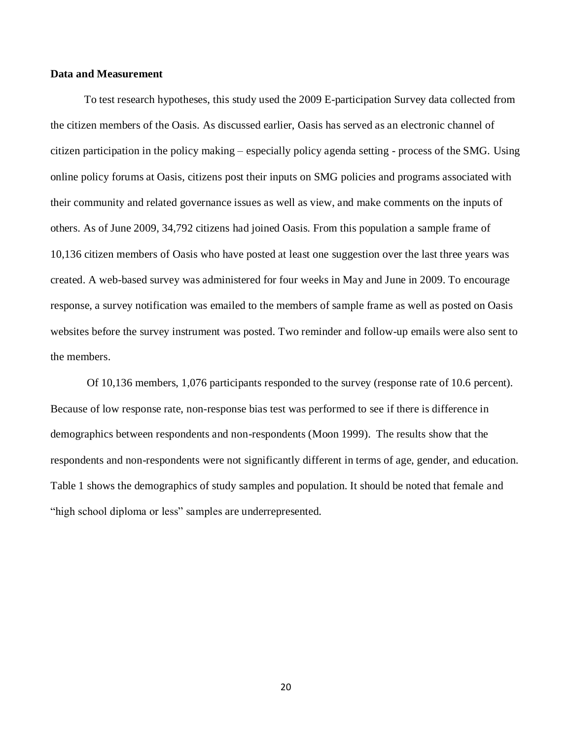#### **Data and Measurement**

To test research hypotheses, this study used the 2009 E-participation Survey data collected from the citizen members of the Oasis. As discussed earlier, Oasis has served as an electronic channel of citizen participation in the policy making – especially policy agenda setting - process of the SMG. Using online policy forums at Oasis, citizens post their inputs on SMG policies and programs associated with their community and related governance issues as well as view, and make comments on the inputs of others. As of June 2009, 34,792 citizens had joined Oasis. From this population a sample frame of 10,136 citizen members of Oasis who have posted at least one suggestion over the last three years was created. A web-based survey was administered for four weeks in May and June in 2009. To encourage response, a survey notification was emailed to the members of sample frame as well as posted on Oasis websites before the survey instrument was posted. Two reminder and follow-up emails were also sent to the members.

Of 10,136 members, 1,076 participants responded to the survey (response rate of 10.6 percent). Because of low response rate, non-response bias test was performed to see if there is difference in demographics between respondents and non-respondents (Moon 1999). The results show that the respondents and non-respondents were not significantly different in terms of age, gender, and education. Table 1 shows the demographics of study samples and population. It should be noted that female and "high school diploma or less" samples are underrepresented.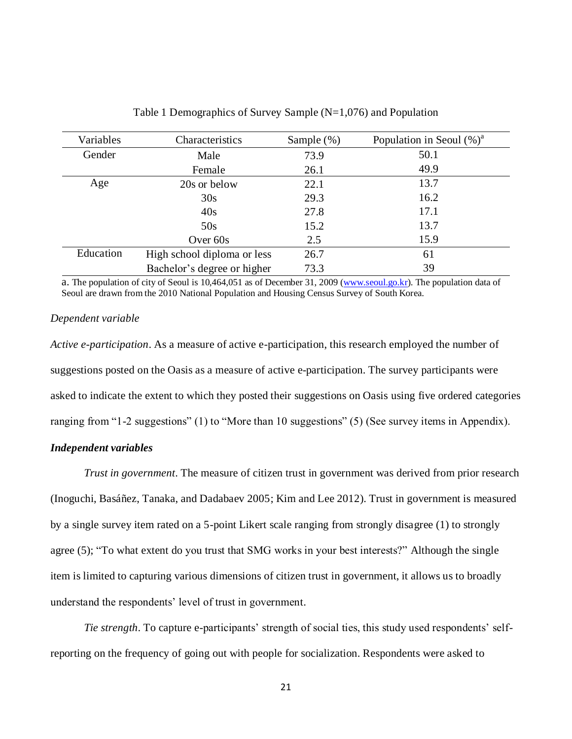| Variables | Characteristics             | Sample $(\%)$ | Population in Seoul $(\%)^a$ |
|-----------|-----------------------------|---------------|------------------------------|
| Gender    | Male                        | 73.9          | 50.1                         |
|           | Female                      | 26.1          | 49.9                         |
| Age       | 20s or below                | 22.1          | 13.7                         |
|           | 30s                         | 29.3          | 16.2                         |
|           | 40s                         | 27.8          | 17.1                         |
|           | 50s                         | 15.2          | 13.7                         |
|           | Over $60s$                  | 2.5           | 15.9                         |
| Education | High school diploma or less | 26.7          | 61                           |
|           | Bachelor's degree or higher | 73.3          | 39                           |

Table 1 Demographics of Survey Sample (N=1,076) and Population

a. The population of city of Seoul is 10,464,051 as of December 31, 2009 [\(www.seoul.go.kr\)](http://www.seoul.go.kr/). The population data of Seoul are drawn from the 2010 National Population and Housing Census Survey of South Korea.

#### *Dependent variable*

*Active e-participation*. As a measure of active e-participation, this research employed the number of suggestions posted on the Oasis as a measure of active e-participation. The survey participants were asked to indicate the extent to which they posted their suggestions on Oasis using five ordered categories ranging from "1-2 suggestions" (1) to "More than 10 suggestions" (5) (See survey items in Appendix).

## *Independent variables*

*Trust in government*. The measure of citizen trust in government was derived from prior research (Inoguchi, Basáñez, Tanaka, and Dadabaev 2005; Kim and Lee 2012). Trust in government is measured by a single survey item rated on a 5-point Likert scale ranging from strongly disagree (1) to strongly agree (5); "To what extent do you trust that SMG works in your best interests?" Although the single item is limited to capturing various dimensions of citizen trust in government, it allows us to broadly understand the respondents' level of trust in government.

*Tie strength*. To capture e-participants' strength of social ties, this study used respondents' selfreporting on the frequency of going out with people for socialization. Respondents were asked to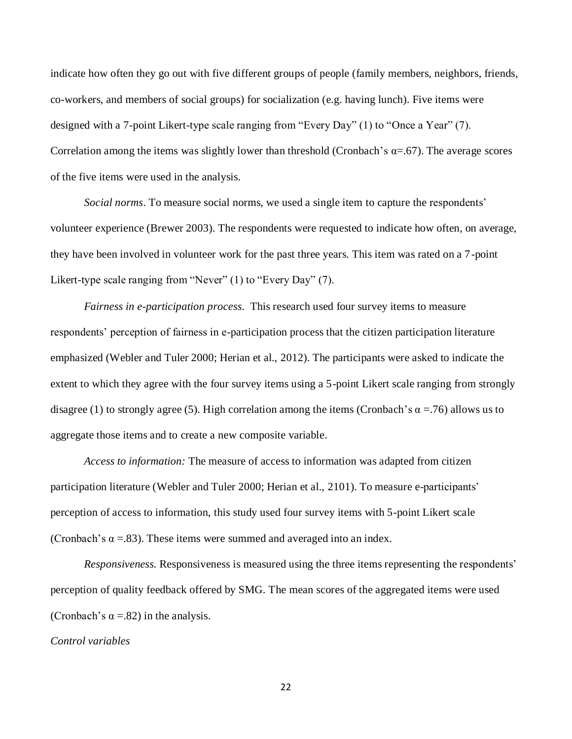indicate how often they go out with five different groups of people (family members, neighbors, friends, co-workers, and members of social groups) for socialization (e.g. having lunch). Five items were designed with a 7-point Likert-type scale ranging from "Every Day" (1) to "Once a Year" (7). Correlation among the items was slightly lower than threshold (Cronbach's  $\alpha = .67$ ). The average scores of the five items were used in the analysis.

*Social norms*. To measure social norms, we used a single item to capture the respondents' volunteer experience (Brewer 2003). The respondents were requested to indicate how often, on average, they have been involved in volunteer work for the past three years. This item was rated on a 7-point Likert-type scale ranging from "Never" (1) to "Every Day" (7).

*Fairness in e-participation process.* This research used four survey items to measure respondents' perception of fairness in e-participation process that the citizen participation literature emphasized (Webler and Tuler 2000; Herian et al., 2012). The participants were asked to indicate the extent to which they agree with the four survey items using a 5-point Likert scale ranging from strongly disagree (1) to strongly agree (5). High correlation among the items (Cronbach's  $\alpha$  =.76) allows us to aggregate those items and to create a new composite variable.

*Access to information:* The measure of access to information was adapted from citizen participation literature (Webler and Tuler 2000; Herian et al., 2101). To measure e-participants' perception of access to information, this study used four survey items with 5-point Likert scale (Cronbach's  $\alpha$  =.83). These items were summed and averaged into an index.

*Responsiveness.* Responsiveness is measured using the three items representing the respondents' perception of quality feedback offered by SMG. The mean scores of the aggregated items were used (Cronbach's  $\alpha$  =.82) in the analysis.

#### *Control variables*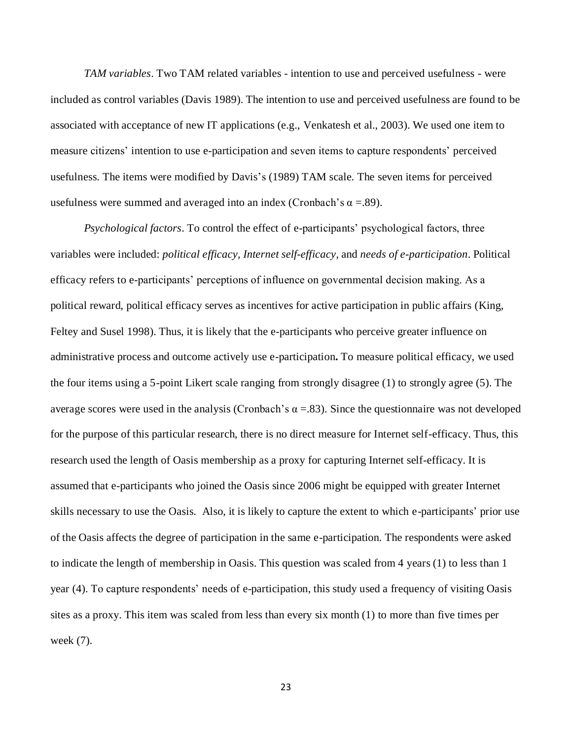*TAM variables*. Two TAM related variables - intention to use and perceived usefulness - were included as control variables (Davis 1989). The intention to use and perceived usefulness are found to be associated with acceptance of new IT applications (e.g., Venkatesh et al., 2003). We used one item to measure citizens' intention to use e-participation and seven items to capture respondents' perceived usefulness. The items were modified by Davis's (1989) TAM scale. The seven items for perceived usefulness were summed and averaged into an index (Cronbach's  $\alpha = .89$ ).

*Psychological factors*. To control the effect of e-participants' psychological factors, three variables were included: *political efficacy, Internet self-efficacy,* and *needs of e-participation*. Political efficacy refers to e-participants' perceptions of influence on governmental decision making. As a political reward, political efficacy serves as incentives for active participation in public affairs (King, Feltey and Susel 1998). Thus, it is likely that the e-participants who perceive greater influence on administrative process and outcome actively use e-participation**.** To measure political efficacy, we used the four items using a 5-point Likert scale ranging from strongly disagree (1) to strongly agree (5). The average scores were used in the analysis (Cronbach's  $\alpha = 83$ ). Since the questionnaire was not developed for the purpose of this particular research, there is no direct measure for Internet self-efficacy. Thus, this research used the length of Oasis membership as a proxy for capturing Internet self-efficacy. It is assumed that e-participants who joined the Oasis since 2006 might be equipped with greater Internet skills necessary to use the Oasis. Also, it is likely to capture the extent to which e-participants' prior use of the Oasis affects the degree of participation in the same e-participation. The respondents were asked to indicate the length of membership in Oasis. This question was scaled from 4 years (1) to less than 1 year (4). To capture respondents' needs of e-participation, this study used a frequency of visiting Oasis sites as a proxy. This item was scaled from less than every six month (1) to more than five times per week (7).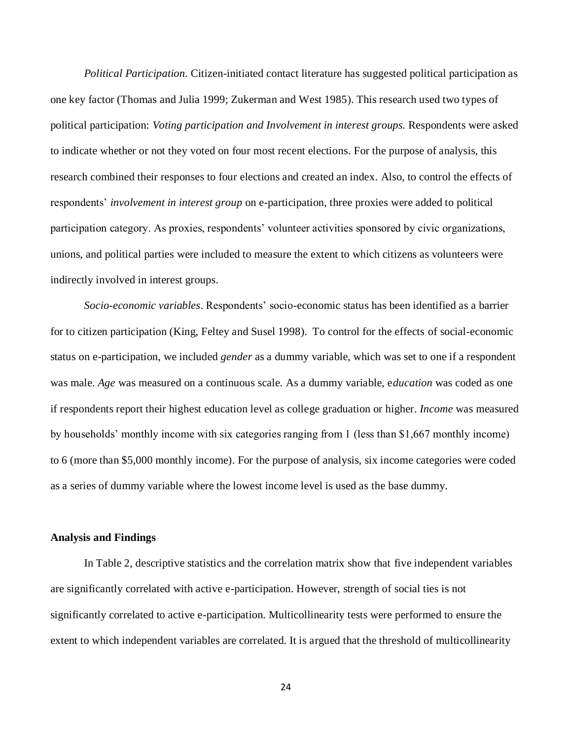*Political Participation.* Citizen-initiated contact literature has suggested political participation as one key factor (Thomas and Julia 1999; Zukerman and West 1985). This research used two types of political participation: *Voting participation and Involvement in interest groups.* Respondents were asked to indicate whether or not they voted on four most recent elections. For the purpose of analysis, this research combined their responses to four elections and created an index. Also, to control the effects of respondents' *involvement in interest group* on e-participation, three proxies were added to political participation category. As proxies, respondents' volunteer activities sponsored by civic organizations, unions, and political parties were included to measure the extent to which citizens as volunteers were indirectly involved in interest groups.

*Socio-economic variables*. Respondents' socio-economic status has been identified as a barrier for to citizen participation (King, Feltey and Susel 1998). To control for the effects of social-economic status on e-participation, we included *gender* as a dummy variable, which was set to one if a respondent was male. *Age* was measured on a continuous scale. As a dummy variable, e*ducation* was coded as one if respondents report their highest education level as college graduation or higher. *Income* was measured by households' monthly income with six categories ranging from 1 (less than \$1,667 monthly income) to 6 (more than \$5,000 monthly income). For the purpose of analysis, six income categories were coded as a series of dummy variable where the lowest income level is used as the base dummy.

#### **Analysis and Findings**

In Table 2, descriptive statistics and the correlation matrix show that five independent variables are significantly correlated with active e-participation. However, strength of social ties is not significantly correlated to active e-participation. Multicollinearity tests were performed to ensure the extent to which independent variables are correlated. It is argued that the threshold of multicollinearity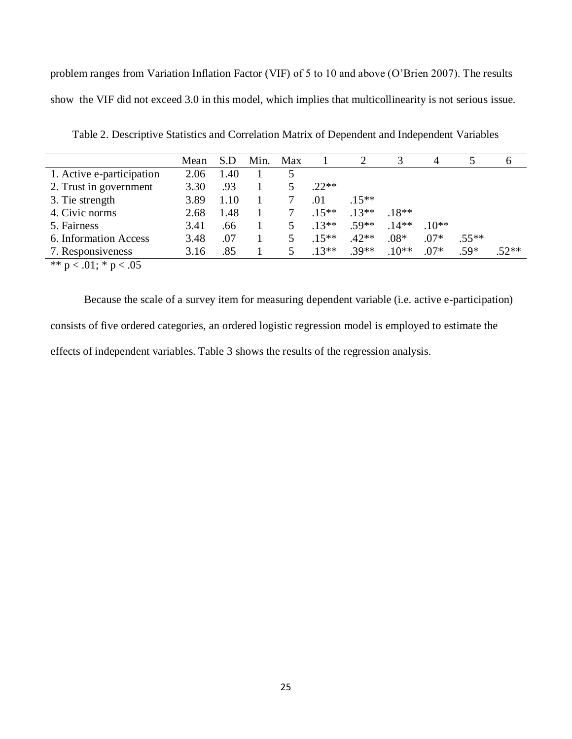problem ranges from Variation Inflation Factor (VIF) of 5 to 10 and above (O'Brien 2007). The results show the VIF did not exceed 3.0 in this model, which implies that multicollinearity is not serious issue.

|                           | Mean | S.D  | Min. | Max |        |         |         | 4      |         | O       |
|---------------------------|------|------|------|-----|--------|---------|---------|--------|---------|---------|
| 1. Active e-participation | 2.06 | 1.40 |      |     |        |         |         |        |         |         |
| 2. Trust in government    | 3.30 | .93  |      |     | $22**$ |         |         |        |         |         |
| 3. Tie strength           | 3.89 | 1.10 |      |     | .01    | $15**$  |         |        |         |         |
| 4. Civic norms            | 2.68 | 1.48 |      |     | $15**$ | $13**$  | $18**$  |        |         |         |
| 5. Fairness               | 3.41 | .66  |      | 5   | $13**$ | $.59**$ | $.14**$ | $10**$ |         |         |
| 6. Information Access     | 3.48 | .07  |      |     | $15**$ | $.42**$ | $.08*$  | $.07*$ | $.55**$ |         |
| 7. Responsiveness         | 3.16 | .85  |      |     | $13**$ | $.39**$ | $.10**$ | $.07*$ | .59*    | $.52**$ |
|                           |      |      |      |     |        |         |         |        |         |         |

Table 2. Descriptive Statistics and Correlation Matrix of Dependent and Independent Variables

\*\*  $p < .01$ ; \*  $p < .05$ 

Because the scale of a survey item for measuring dependent variable (i.e. active e-participation) consists of five ordered categories, an ordered logistic regression model is employed to estimate the effects of independent variables. Table 3 shows the results of the regression analysis.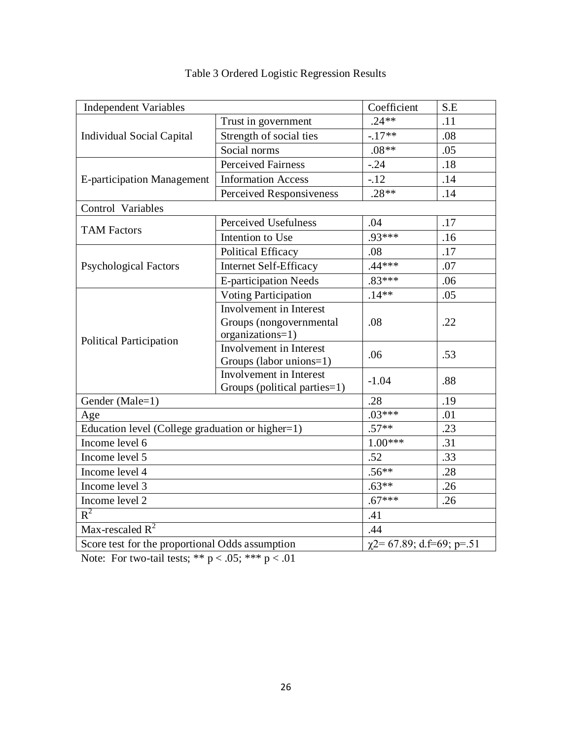| <b>Independent Variables</b>                     | Coefficient                                               | S.E      |     |  |  |
|--------------------------------------------------|-----------------------------------------------------------|----------|-----|--|--|
|                                                  | Trust in government                                       | $.24**$  | .11 |  |  |
| <b>Individual Social Capital</b>                 | Strength of social ties                                   | $-17**$  | .08 |  |  |
|                                                  | Social norms                                              | $.08**$  | .05 |  |  |
|                                                  | <b>Perceived Fairness</b>                                 | $-24$    | .18 |  |  |
| <b>E-participation Management</b>                | <b>Information Access</b>                                 | $-12$    | .14 |  |  |
|                                                  | Perceived Responsiveness                                  | $.28**$  | .14 |  |  |
| Control Variables                                |                                                           |          |     |  |  |
| <b>TAM Factors</b>                               | Perceived Usefulness                                      | .04      | .17 |  |  |
|                                                  | Intention to Use                                          | .93***   | .16 |  |  |
|                                                  | <b>Political Efficacy</b>                                 | .08      | .17 |  |  |
| <b>Psychological Factors</b>                     | <b>Internet Self-Efficacy</b>                             | $.44***$ | .07 |  |  |
|                                                  | <b>E-participation Needs</b>                              | $.83***$ | .06 |  |  |
|                                                  | Voting Participation                                      | $.14**$  | .05 |  |  |
|                                                  | Involvement in Interest                                   |          | .22 |  |  |
|                                                  | Groups (nongovernmental                                   | .08      |     |  |  |
| Political Participation                          | organizations=1)                                          |          |     |  |  |
|                                                  | <b>Involvement</b> in Interest<br>Groups (labor unions=1) | .06      | .53 |  |  |
|                                                  | <b>Involvement</b> in Interest                            | $-1.04$  | .88 |  |  |
|                                                  | Groups (political parties=1)                              |          |     |  |  |
| Gender (Male=1)                                  |                                                           | .28      | .19 |  |  |
| Age                                              | $.03***$                                                  | .01      |     |  |  |
| Education level (College graduation or higher=1) | $.57**$                                                   | .23      |     |  |  |
| Income level 6                                   | $1.00***$                                                 | .31      |     |  |  |
| Income level 5                                   | .52                                                       | .33      |     |  |  |
| Income level 4                                   | $.56**$                                                   | .28      |     |  |  |
| Income level 3                                   | $.63**$                                                   | .26      |     |  |  |
| Income level 2                                   | $.67***$                                                  | .26      |     |  |  |
| $R^2$                                            | .41                                                       |          |     |  |  |
| Max-rescaled $R^2$                               | .44                                                       |          |     |  |  |
| Score test for the proportional Odds assumption  | $\chi$ 2= 67.89; d.f=69; p=.51                            |          |     |  |  |

# Table 3 Ordered Logistic Regression Results

Note: For two-tail tests; \*\*  $p < .05$ ; \*\*\*  $p < .01$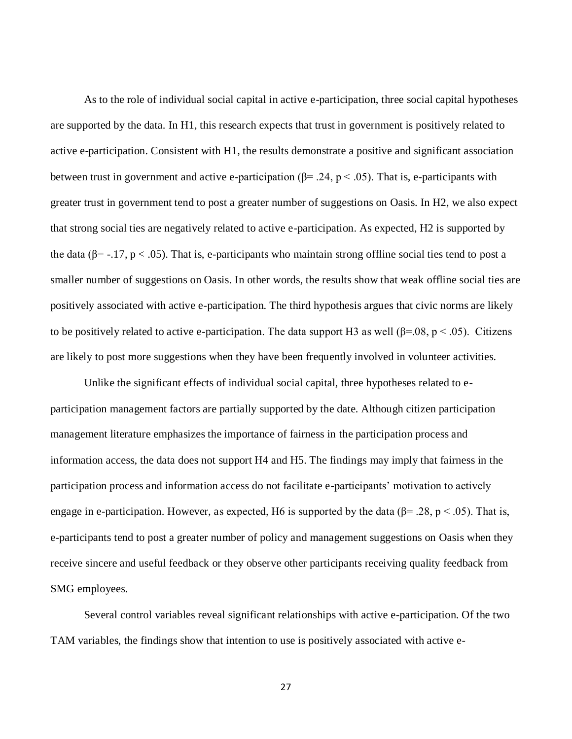As to the role of individual social capital in active e-participation, three social capital hypotheses are supported by the data. In H1, this research expects that trust in government is positively related to active e-participation. Consistent with H1, the results demonstrate a positive and significant association between trust in government and active e-participation ( $\beta$ = .24, p < .05). That is, e-participants with greater trust in government tend to post a greater number of suggestions on Oasis. In H2, we also expect that strong social ties are negatively related to active e-participation. As expected, H2 is supported by the data ( $\beta$ = -.17, p < .05). That is, e-participants who maintain strong offline social ties tend to post a smaller number of suggestions on Oasis. In other words, the results show that weak offline social ties are positively associated with active e-participation. The third hypothesis argues that civic norms are likely to be positively related to active e-participation. The data support H3 as well ( $\beta$ =.08, p < .05). Citizens are likely to post more suggestions when they have been frequently involved in volunteer activities.

Unlike the significant effects of individual social capital, three hypotheses related to eparticipation management factors are partially supported by the date. Although citizen participation management literature emphasizes the importance of fairness in the participation process and information access, the data does not support H4 and H5. The findings may imply that fairness in the participation process and information access do not facilitate e-participants' motivation to actively engage in e-participation. However, as expected, H6 is supported by the data ( $\beta$ = .28, p < .05). That is, e-participants tend to post a greater number of policy and management suggestions on Oasis when they receive sincere and useful feedback or they observe other participants receiving quality feedback from SMG employees.

Several control variables reveal significant relationships with active e-participation. Of the two TAM variables, the findings show that intention to use is positively associated with active e-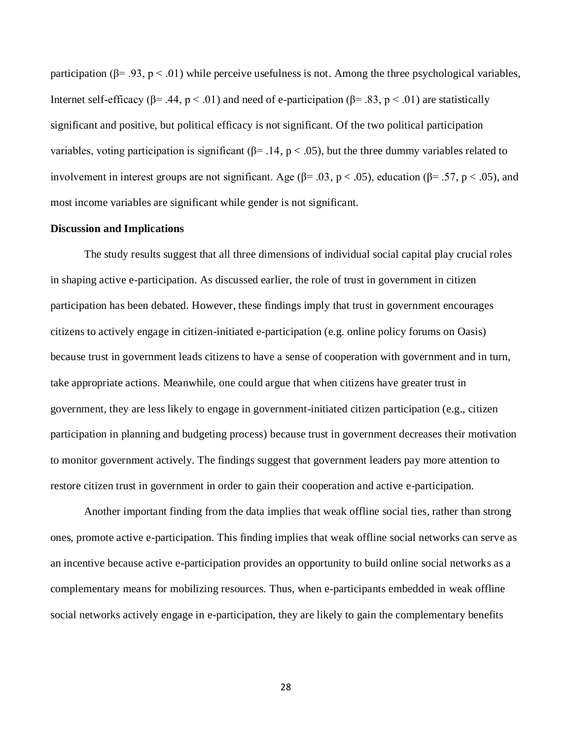participation  $(\beta = .93, p < .01)$  while perceive usefulness is not. Among the three psychological variables, Internet self-efficacy ( $\beta$ = .44,  $p$  < .01) and need of e-participation ( $\beta$ = .83,  $p$  < .01) are statistically significant and positive, but political efficacy is not significant. Of the two political participation variables, voting participation is significant ( $\beta$ = .14, p < .05), but the three dummy variables related to involvement in interest groups are not significant. Age ( $\beta$ = .03, p < .05), education ( $\beta$ = .57, p < .05), and most income variables are significant while gender is not significant.

#### **Discussion and Implications**

The study results suggest that all three dimensions of individual social capital play crucial roles in shaping active e-participation. As discussed earlier, the role of trust in government in citizen participation has been debated. However, these findings imply that trust in government encourages citizens to actively engage in citizen-initiated e-participation (e.g. online policy forums on Oasis) because trust in government leads citizens to have a sense of cooperation with government and in turn, take appropriate actions. Meanwhile, one could argue that when citizens have greater trust in government, they are less likely to engage in government-initiated citizen participation (e.g., citizen participation in planning and budgeting process) because trust in government decreases their motivation to monitor government actively. The findings suggest that government leaders pay more attention to restore citizen trust in government in order to gain their cooperation and active e-participation.

Another important finding from the data implies that weak offline social ties, rather than strong ones, promote active e-participation. This finding implies that weak offline social networks can serve as an incentive because active e-participation provides an opportunity to build online social networks as a complementary means for mobilizing resources. Thus, when e-participants embedded in weak offline social networks actively engage in e-participation, they are likely to gain the complementary benefits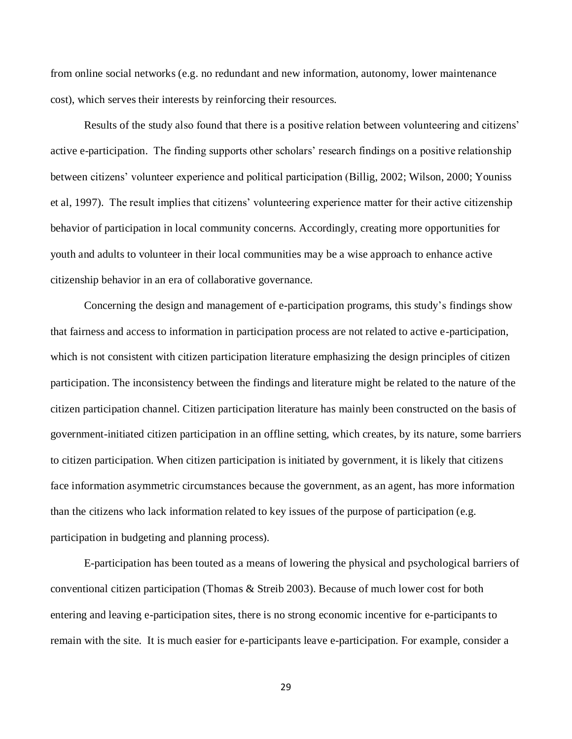from online social networks (e.g. no redundant and new information, autonomy, lower maintenance cost), which serves their interests by reinforcing their resources.

Results of the study also found that there is a positive relation between volunteering and citizens' active e-participation. The finding supports other scholars' research findings on a positive relationship between citizens' volunteer experience and political participation (Billig, 2002; Wilson, 2000; Youniss et al, 1997). The result implies that citizens' volunteering experience matter for their active citizenship behavior of participation in local community concerns. Accordingly, creating more opportunities for youth and adults to volunteer in their local communities may be a wise approach to enhance active citizenship behavior in an era of collaborative governance.

Concerning the design and management of e-participation programs, this study's findings show that fairness and access to information in participation process are not related to active e-participation, which is not consistent with citizen participation literature emphasizing the design principles of citizen participation. The inconsistency between the findings and literature might be related to the nature of the citizen participation channel. Citizen participation literature has mainly been constructed on the basis of government-initiated citizen participation in an offline setting, which creates, by its nature, some barriers to citizen participation. When citizen participation is initiated by government, it is likely that citizens face information asymmetric circumstances because the government, as an agent, has more information than the citizens who lack information related to key issues of the purpose of participation (e.g. participation in budgeting and planning process).

E-participation has been touted as a means of lowering the physical and psychological barriers of conventional citizen participation (Thomas & Streib 2003). Because of much lower cost for both entering and leaving e-participation sites, there is no strong economic incentive for e-participants to remain with the site. It is much easier for e-participants leave e-participation. For example, consider a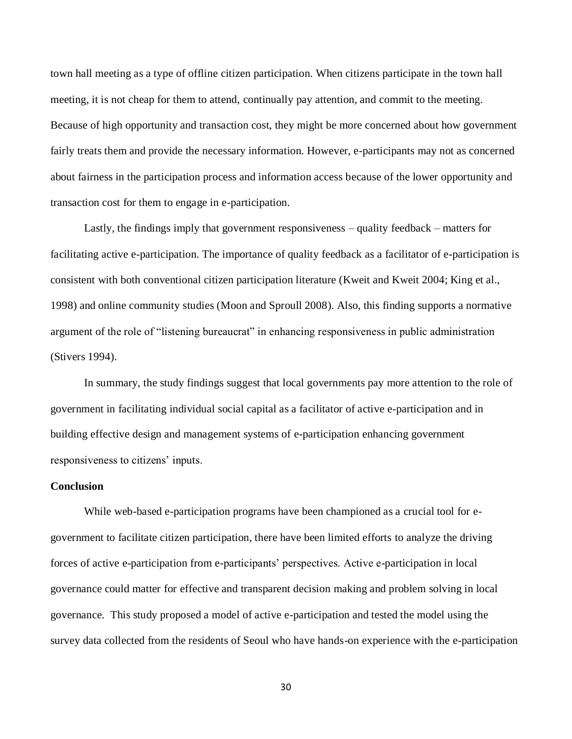town hall meeting as a type of offline citizen participation. When citizens participate in the town hall meeting, it is not cheap for them to attend, continually pay attention, and commit to the meeting. Because of high opportunity and transaction cost, they might be more concerned about how government fairly treats them and provide the necessary information. However, e-participants may not as concerned about fairness in the participation process and information access because of the lower opportunity and transaction cost for them to engage in e-participation.

Lastly, the findings imply that government responsiveness – quality feedback – matters for facilitating active e-participation. The importance of quality feedback as a facilitator of e-participation is consistent with both conventional citizen participation literature (Kweit and Kweit 2004; King et al., 1998) and online community studies (Moon and Sproull 2008). Also, this finding supports a normative argument of the role of "listening bureaucrat" in enhancing responsiveness in public administration (Stivers 1994).

In summary, the study findings suggest that local governments pay more attention to the role of government in facilitating individual social capital as a facilitator of active e-participation and in building effective design and management systems of e-participation enhancing government responsiveness to citizens' inputs.

#### **Conclusion**

While web-based e-participation programs have been championed as a crucial tool for egovernment to facilitate citizen participation, there have been limited efforts to analyze the driving forces of active e-participation from e-participants' perspectives. Active e-participation in local governance could matter for effective and transparent decision making and problem solving in local governance. This study proposed a model of active e-participation and tested the model using the survey data collected from the residents of Seoul who have hands-on experience with the e-participation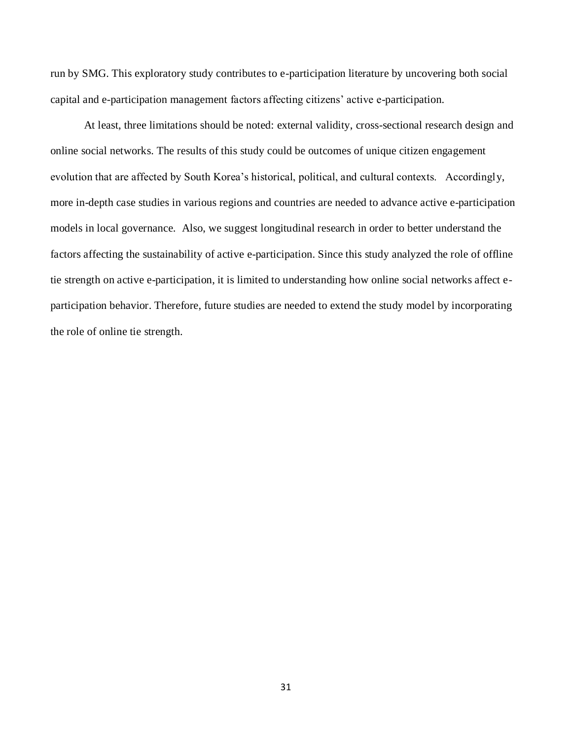run by SMG. This exploratory study contributes to e-participation literature by uncovering both social capital and e-participation management factors affecting citizens' active e-participation.

At least, three limitations should be noted: external validity, cross-sectional research design and online social networks. The results of this study could be outcomes of unique citizen engagement evolution that are affected by South Korea's historical, political, and cultural contexts. Accordingly, more in-depth case studies in various regions and countries are needed to advance active e-participation models in local governance. Also, we suggest longitudinal research in order to better understand the factors affecting the sustainability of active e-participation. Since this study analyzed the role of offline tie strength on active e-participation, it is limited to understanding how online social networks affect eparticipation behavior. Therefore, future studies are needed to extend the study model by incorporating the role of online tie strength.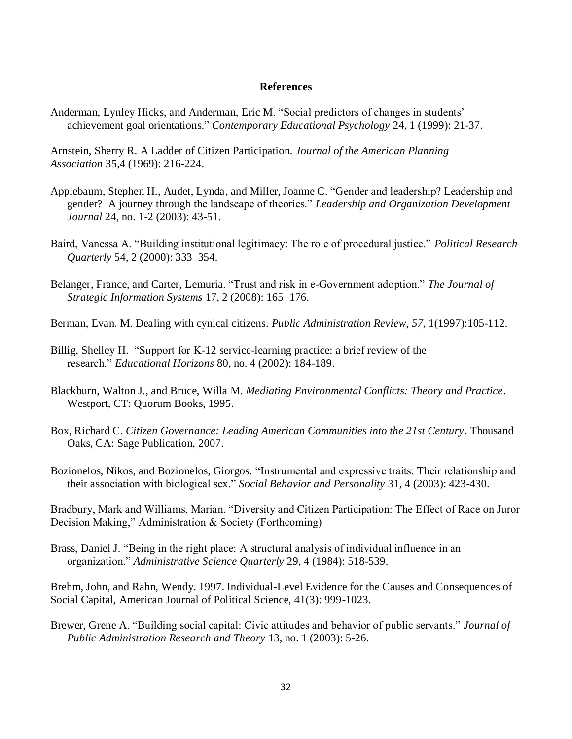#### **References**

Anderman, Lynley Hicks, and Anderman, Eric M. "Social predictors of changes in students' achievement goal orientations." *Contemporary Educational Psychology* 24, 1 (1999): 21-37.

Arnstein, Sherry R. A Ladder of Citizen Participation. *Journal of the American Planning Association* 35,4 (1969): 216-224.

- Applebaum, Stephen H., Audet, Lynda, and Miller, Joanne C. "Gender and leadership? Leadership and gender? A journey through the landscape of theories." *Leadership and Organization Development Journal* 24, no. 1-2 (2003): 43-51.
- Baird, Vanessa A. "Building institutional legitimacy: The role of procedural justice." *Political Research Quarterly* 54, 2 (2000): 333–354.
- Belanger, France, and Carter, Lemuria. "Trust and risk in e-Government adoption." *The Journal of Strategic Information Systems* 17, 2 (2008): 165−176.
- Berman, Evan. M. Dealing with cynical citizens. *Public Administration Review*, *57*, 1(1997):105-112.
- Billig, Shelley H. "Support for K-12 service-learning practice: a brief review of the research." *Educational Horizons* 80, no. 4 (2002): 184-189.
- Blackburn, Walton J., and Bruce, Willa M. *Mediating Environmental Conflicts: Theory and Practice*. Westport, CT: Quorum Books, 1995.
- Box, Richard C. *Citizen Governance: Leading American Communities into the 21st Century*. Thousand Oaks, CA: Sage Publication, 2007.

Bozionelos, Nikos, and Bozionelos, Giorgos. "Instrumental and expressive traits: Their relationship and their association with biological sex." *Social Behavior and Personality* 31, 4 (2003): 423-430.

Bradbury, Mark and Williams, Marian. "Diversity and Citizen Participation: The Effect of Race on Juror Decision Making," Administration & Society (Forthcoming)

Brass, Daniel J. "Being in the right place: A structural analysis of individual influence in an organization." *Administrative Science Quarterly* 29, 4 (1984): 518-539.

Brehm, John, and Rahn, Wendy. 1997. Individual-Level Evidence for the Causes and Consequences of Social Capital, American Journal of Political Science, 41(3): 999-1023.

Brewer, Grene A. "Building social capital: Civic attitudes and behavior of public servants." *Journal of Public Administration Research and Theory* 13, no. 1 (2003): 5-26.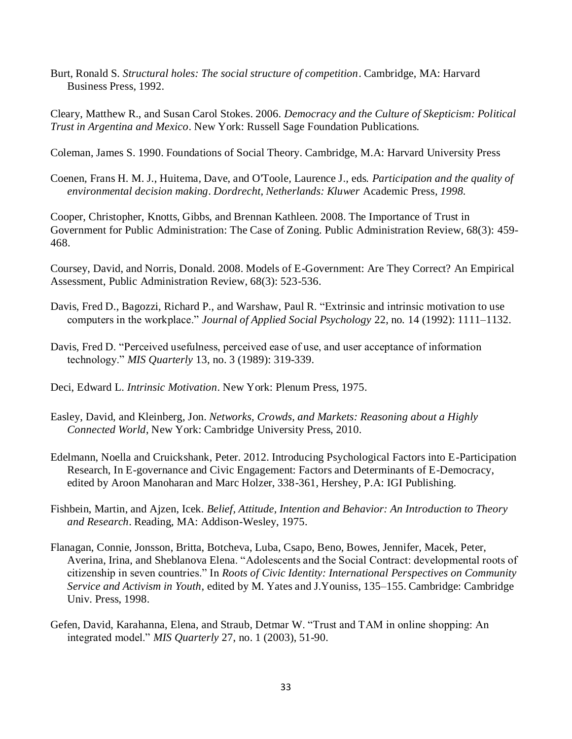Burt, Ronald S. *Structural holes: The social structure of competition*. Cambridge, MA: Harvard Business Press, 1992.

Cleary, Matthew R., and Susan Carol Stokes. 2006. *Democracy and the Culture of Skepticism: Political Trust in Argentina and Mexico*. New York: Russell Sage Foundation Publications.

Coleman, James S. 1990. Foundations of Social Theory. Cambridge, M.A: Harvard University Press

Coenen*,* Frans H. M. J., Huitema*,* Dave, and O'Toole*,* Laurence J.*,* eds*. Participation and the quality of environmental decision making*. *Dordrecht, Netherlands: Kluwer* Academic Press*, 1998.*

Cooper, Christopher, Knotts, Gibbs, and Brennan Kathleen. 2008. The Importance of Trust in Government for Public Administration: The Case of Zoning. Public Administration Review, 68(3): 459- 468.

Coursey, David, and Norris, Donald. 2008. Models of E-Government: Are They Correct? An Empirical Assessment, Public Administration Review, 68(3): 523-536.

- Davis, Fred D., Bagozzi, Richard P., and Warshaw, Paul R. "Extrinsic and intrinsic motivation to use computers in the workplace." *Journal of Applied Social Psychology* 22, no. 14 (1992): 1111–1132.
- Davis, Fred D. "Perceived usefulness, perceived ease of use, and user acceptance of information technology." *MIS Quarterly* 13, no. 3 (1989): 319-339.

Deci, Edward L. *Intrinsic Motivation*. New York: Plenum Press, 1975.

- Easley, David, and Kleinberg, Jon. *Networks, Crowds, and Markets: Reasoning about a Highly Connected World*, New York: Cambridge University Press, 2010.
- Edelmann, Noella and Cruickshank, Peter. 2012. Introducing Psychological Factors into E-Participation Research, In E-governance and Civic Engagement: Factors and Determinants of E-Democracy, edited by Aroon Manoharan and Marc Holzer, 338-361, Hershey, P.A: IGI Publishing.
- Fishbein, Martin, and Ajzen, Icek. *Belief, Attitude, Intention and Behavior: An Introduction to Theory and Research*. Reading, MA: Addison-Wesley, 1975.
- Flanagan, Connie, Jonsson, Britta, Botcheva, Luba, Csapo, Beno, Bowes, Jennifer, Macek, Peter, Averina, Irina, and Sheblanova Elena. "Adolescents and the Social Contract: developmental roots of citizenship in seven countries." In *Roots of Civic Identity: International Perspectives on Community Service and Activism in Youth*, edited by M. Yates and J.Youniss, 135–155. Cambridge: Cambridge Univ. Press, 1998.
- Gefen, David, Karahanna, Elena, and Straub, Detmar W. "Trust and TAM in online shopping: An integrated model." *MIS Quarterly* 27, no. 1 (2003), 51-90.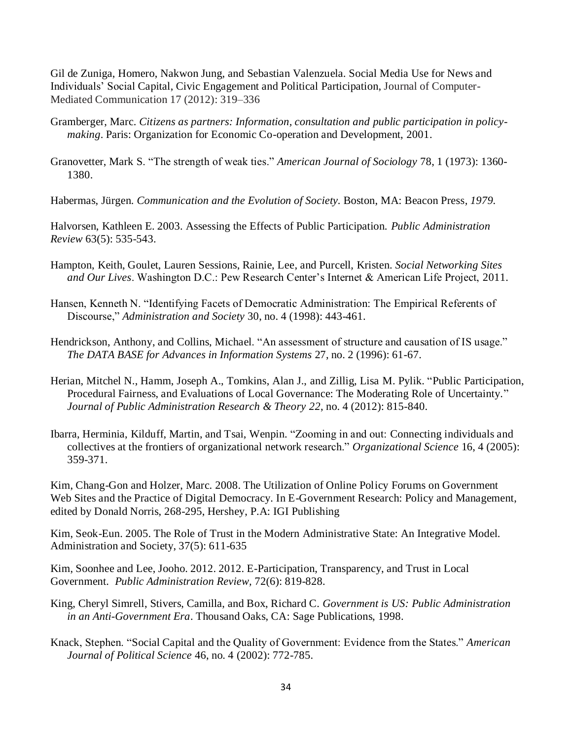Gil de Zuniga, Homero, Nakwon Jung, and Sebastian Valenzuela. Social Media Use for News and Individuals' Social Capital, Civic Engagement and Political Participation, Journal of Computer-Mediated Communication 17 (2012): 319–336

- Gramberger, Marc. *Citizens as partners: Information, consultation and public participation in policymaking*. Paris: Organization for Economic Co-operation and Development, 2001.
- Granovetter, Mark S. "The strength of weak ties." *American Journal of Sociology* 78, 1 (1973): 1360- 1380.
- Habermas, Jürgen. *Communication and the Evolution of Society.* Boston, MA: Beacon Press*, 1979.*

Halvorsen, Kathleen E. 2003. Assessing the Effects of Public Participation. *Public Administration Review* 63(5): 535-543.

- Hampton, Keith, Goulet, Lauren Sessions, Rainie, Lee, and Purcell, Kristen. *Social Networking Sites and Our Lives*. Washington D.C.: Pew Research Center's Internet & American Life Project, 2011.
- Hansen, Kenneth N. "Identifying Facets of Democratic Administration: The Empirical Referents of Discourse," *Administration and Society* 30, no. 4 (1998): 443-461.
- Hendrickson, Anthony, and Collins, Michael. "An assessment of structure and causation of IS usage." *The DATA BASE for Advances in Information Systems* 27, no. 2 (1996): 61-67.
- Herian, Mitchel N., Hamm, Joseph A., Tomkins, Alan J., and Zillig, Lisa M. Pylik. "Public Participation, Procedural Fairness, and Evaluations of Local Governance: The Moderating Role of Uncertainty." *Journal of Public Administration Research & Theory 22*, no. 4 (2012): 815-840.
- Ibarra, Herminia, Kilduff, Martin, and Tsai, Wenpin. "Zooming in and out: Connecting individuals and collectives at the frontiers of organizational network research." *Organizational Science* 16, 4 (2005): 359-371.

Kim, Chang-Gon and Holzer, Marc. 2008. The Utilization of Online Policy Forums on Government Web Sites and the Practice of Digital Democracy. In E-Government Research: Policy and Management, edited by Donald Norris, 268-295, Hershey, P.A: IGI Publishing

Kim, Seok-Eun. 2005. The Role of Trust in the Modern Administrative State: An Integrative Model. Administration and Society, 37(5): 611-635

Kim, Soonhee and Lee, Jooho. 2012. 2012. E-Participation, Transparency, and Trust in Local Government. *Public Administration Review,* 72(6): 819-828.

- King, Cheryl Simrell, Stivers, Camilla, and Box, Richard C. *Government is US: Public Administration in an Anti-Government Era*. Thousand Oaks, CA: Sage Publications, 1998.
- Knack, Stephen. "Social Capital and the Quality of Government: Evidence from the States." *American Journal of Political Science* 46, no. 4 (2002): 772-785.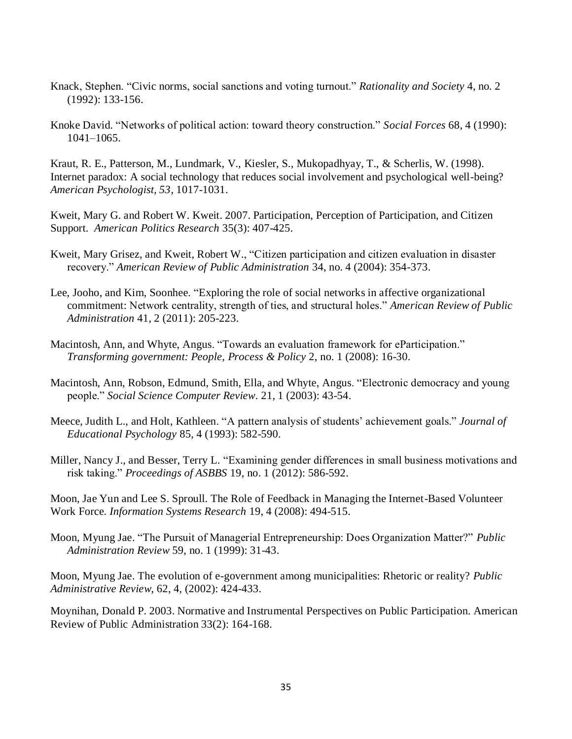- Knack, Stephen. "Civic norms, social sanctions and voting turnout." *Rationality and Society* 4, no. 2 (1992): 133-156.
- Knoke David. "Networks of political action: toward theory construction." *Social Forces* 68, 4 (1990): 1041–1065.

Kraut, R. E., Patterson, M., Lundmark, V., Kiesler, S., Mukopadhyay, T., & Scherlis, W. (1998). Internet paradox: A social technology that reduces social involvement and psychological well-being? *American Psychologist, 53*, 1017-1031.

Kweit, Mary G. and Robert W. Kweit. 2007. Participation, Perception of Participation, and Citizen Support. *American Politics Research* 35(3): 407-425.

- Kweit, Mary Grisez, and Kweit, Robert W., "Citizen participation and citizen evaluation in disaster recovery." *American Review of Public Administration* 34, no. 4 (2004): 354-373.
- Lee, Jooho, and Kim, Soonhee. "Exploring the role of social networks in affective organizational commitment: Network centrality, strength of ties, and structural holes." *American Review of Public Administration* 41, 2 (2011): 205-223.
- Macintosh, Ann, and Whyte, Angus. "Towards an evaluation framework for eParticipation." *Transforming government: People, Process & Policy* 2, no. 1 (2008): 16-30.
- Macintosh, Ann, Robson, Edmund, Smith, Ella, and Whyte, Angus. "Electronic democracy and young people." *Social Science Computer Review*. 21, 1 (2003): 43-54.
- Meece, Judith L., and Holt, Kathleen. "A pattern analysis of students' achievement goals." *Journal of Educational Psychology* 85, 4 (1993): 582-590.
- Miller, Nancy J., and Besser, Terry L. "Examining gender differences in small business motivations and risk taking." *Proceedings of ASBBS* 19, no. 1 (2012): 586-592.

Moon, Jae Yun and Lee S. Sproull. The Role of Feedback in Managing the Internet-Based Volunteer Work Force. *Information Systems Research* 19, 4 (2008): 494-515.

Moon, Myung Jae. "The Pursuit of Managerial Entrepreneurship: Does Organization Matter?" *Public Administration Review* 59, no. 1 (1999): 31-43.

Moon, Myung Jae. The evolution of e-government among municipalities: Rhetoric or reality? *Public Administrative Review,* 62, 4, (2002): 424-433.

Moynihan, Donald P. 2003. Normative and Instrumental Perspectives on Public Participation. American Review of Public Administration 33(2): 164-168.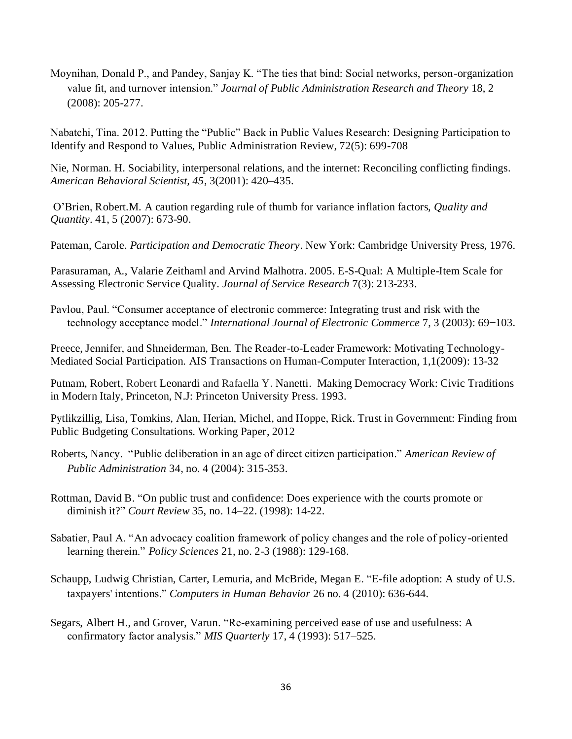Moynihan, Donald P., and Pandey, Sanjay K. "The ties that bind: Social networks, person-organization value fit, and turnover intension." *Journal of Public Administration Research and Theory* 18, 2 (2008): 205-277.

Nabatchi, Tina. 2012. Putting the "Public" Back in Public Values Research: Designing Participation to Identify and Respond to Values, Public Administration Review, 72(5): 699-708

Nie, Norman. H. Sociability, interpersonal relations, and the internet: Reconciling conflicting findings. *American Behavioral Scientist, 45*, 3(2001): 420–435.

O'Brien, Robert.M. A caution regarding rule of thumb for variance inflation factors, *Quality and Quantity*. 41, 5 (2007): 673-90.

Pateman, Carole. *Participation and Democratic Theory*. New York: Cambridge University Press, 1976.

Parasuraman, A., Valarie Zeithaml and Arvind Malhotra. 2005. E-S-Qual: A Multiple-Item Scale for Assessing Electronic Service Quality. *Journal of Service Research* 7(3): 213-233.

Pavlou, Paul. "Consumer acceptance of electronic commerce: Integrating trust and risk with the technology acceptance model." *International Journal of Electronic Commerce* 7, 3 (2003): 69−103.

Preece, Jennifer, and Shneiderman, Ben. The Reader-to-Leader Framework: Motivating Technology-Mediated Social Participation. AIS Transactions on Human-Computer Interaction, 1,1(2009): 13-32

Putnam, Robert, Robert Leonardi and Rafaella Y. Nanetti. Making Democracy Work: Civic Traditions in Modern Italy, Princeton, N.J: Princeton University Press. 1993.

Pytlikzillig, Lisa, Tomkins, Alan, Herian, Michel, and Hoppe, Rick. Trust in Government: Finding from Public Budgeting Consultations. Working Paper, 2012

Roberts, Nancy. "Public deliberation in an age of direct citizen participation." *American Review of Public Administration* 34, no. 4 (2004): 315-353.

Rottman, David B. "On public trust and confidence: Does experience with the courts promote or diminish it?" *Court Review* 35, no. 14–22. (1998): 14-22.

Sabatier, Paul A. "An advocacy coalition framework of policy changes and the role of policy-oriented learning therein." *Policy Sciences* 21, no. 2-3 (1988): 129-168.

Schaupp, Ludwig Christian, Carter, Lemuria, and McBride, Megan E. "E-file adoption: A study of U.S. taxpayers' intentions." *Computers in Human Behavior* 26 no. 4 (2010): 636-644.

Segars, Albert H., and Grover, Varun. "Re-examining perceived ease of use and usefulness: A confirmatory factor analysis." *MIS Quarterly* 17, 4 (1993): 517–525.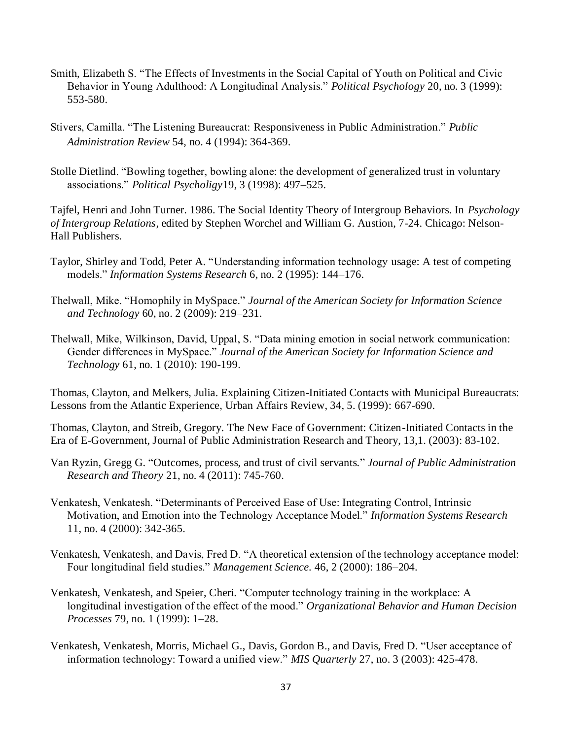- Smith, Elizabeth S. "The Effects of Investments in the Social Capital of Youth on Political and Civic Behavior in Young Adulthood: A Longitudinal Analysis." *Political Psychology* 20, no. 3 (1999): 553-580.
- Stivers, Camilla. "The Listening Bureaucrat: Responsiveness in Public Administration." *Public Administration Review* 54, no. 4 (1994): 364-369.
- Stolle Dietlind. "Bowling together, bowling alone: the development of generalized trust in voluntary associations." *Political Psycholigy*19, 3 (1998): 497–525.

Tajfel, Henri and John Turner. 1986. The Social Identity Theory of Intergroup Behaviors. In *Psychology of Intergroup Relations*, edited by Stephen Worchel and William G. Austion, 7-24. Chicago: Nelson-Hall Publishers.

- Taylor, Shirley and Todd, Peter A. "Understanding information technology usage: A test of competing models." *Information Systems Research* 6, no. 2 (1995): 144–176.
- Thelwall, Mike. "Homophily in MySpace." *Journal of the American Society for Information Science and Technology* 60, no. 2 (2009): 219–231.
- Thelwall, Mike, Wilkinson, David, Uppal, S. "Data mining emotion in social network communication: Gender differences in MySpace." *Journal of the American Society for Information Science and Technology* 61, no. 1 (2010): 190-199.

Thomas, Clayton, and Melkers, Julia. Explaining Citizen-Initiated Contacts with Municipal Bureaucrats: Lessons from the Atlantic Experience, Urban Affairs Review, 34, 5. (1999): 667-690.

Thomas, Clayton, and Streib, Gregory. The New Face of Government: Citizen-Initiated Contacts in the Era of E-Government, Journal of Public Administration Research and Theory, 13,1. (2003): 83-102.

- Van Ryzin, Gregg G. "Outcomes, process, and trust of civil servants." *Journal of Public Administration Research and Theory* 21, no. 4 (2011): 745-760.
- Venkatesh, Venkatesh. "Determinants of Perceived Ease of Use: Integrating Control, Intrinsic Motivation, and Emotion into the Technology Acceptance Model." *Information Systems Research* 11, no. 4 (2000): 342-365.
- Venkatesh, Venkatesh, and Davis, Fred D. "A theoretical extension of the technology acceptance model: Four longitudinal field studies." *Management Science.* 46, 2 (2000): 186–204.
- Venkatesh, Venkatesh, and Speier, Cheri. "Computer technology training in the workplace: A longitudinal investigation of the effect of the mood." *Organizational Behavior and Human Decision Processes* 79, no. 1 (1999): 1–28.
- Venkatesh, Venkatesh, Morris, Michael G., Davis, Gordon B., and Davis, Fred D. "User acceptance of information technology: Toward a unified view." *MIS Quarterly* 27, no. 3 (2003): 425-478.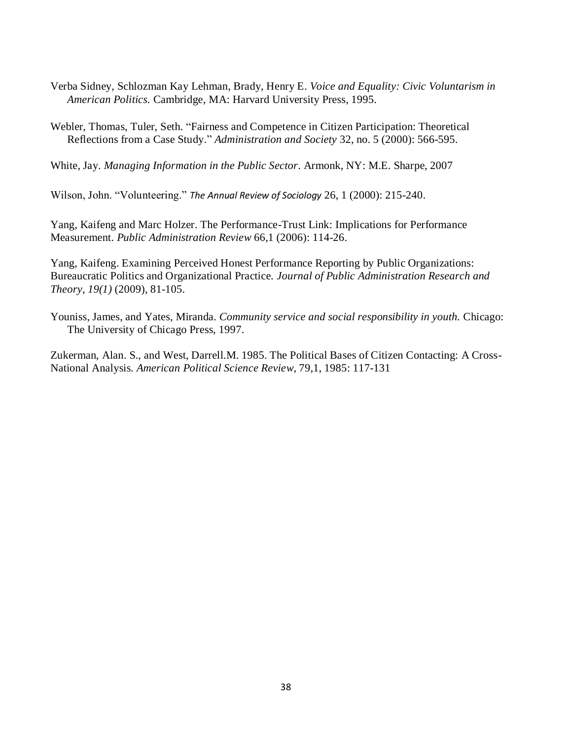- Verba Sidney, Schlozman Kay Lehman, Brady, Henry E. *Voice and Equality: Civic Voluntarism in American Politics.* Cambridge, MA: Harvard University Press, 1995.
- Webler, Thomas, Tuler, Seth. "Fairness and Competence in Citizen Participation: Theoretical Reflections from a Case Study." *Administration and Society* 32, no. 5 (2000): 566-595.

White, Jay. *Managing Information in the Public Sector*. Armonk, NY: M.E. Sharpe, 2007

Wilson, John. "Volunteering." *The Annual Review of Sociology* 26, 1 (2000): 215-240.

Yang, Kaifeng and Marc Holzer. The Performance-Trust Link: Implications for Performance Measurement. *Public Administration Review* 66,1 (2006): 114-26.

Yang, Kaifeng. Examining Perceived Honest Performance Reporting by Public Organizations: Bureaucratic Politics and Organizational Practice. *Journal of Public Administration Research and Theory*, *19(1)* (2009), 81-105.

Youniss, James, and Yates, Miranda. *Community service and social responsibility in youth.* Chicago: The University of Chicago Press, 1997.

Zukerman, Alan. S., and West, Darrell.M. 1985. The Political Bases of Citizen Contacting: A Cross-National Analysis. *American Political Science Review*, 79,1, 1985: 117-131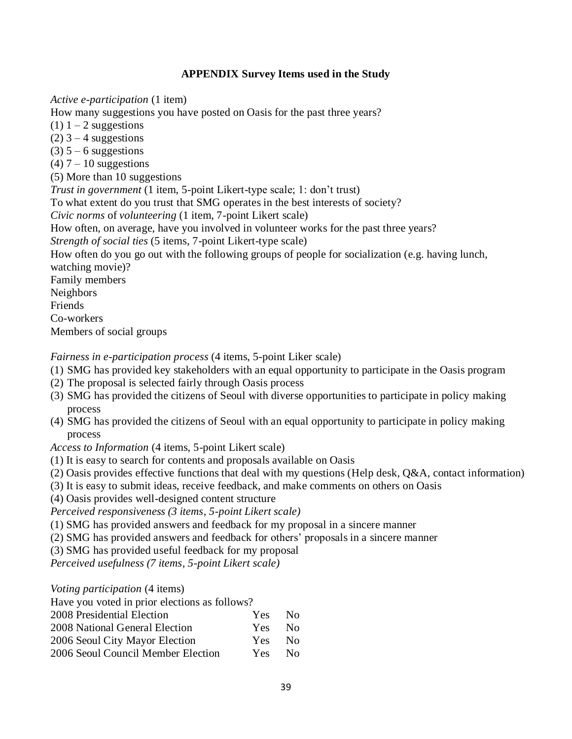## **APPENDIX Survey Items used in the Study**

*Active e-participation* (1 item)

How many suggestions you have posted on Oasis for the past three years?

- $(1)$  1 2 suggestions
- $(2)$  3 4 suggestions
- $(3)$  5 6 suggestions
- $(4)$  7 10 suggestions
- (5) More than 10 suggestions

*Trust in government* (1 item, 5-point Likert-type scale; 1: don't trust)

To what extent do you trust that SMG operates in the best interests of society?

*Civic norms* of *volunteering* (1 item, 7-point Likert scale)

How often, on average, have you involved in volunteer works for the past three years?

*Strength of social ties* (5 items, 7-point Likert-type scale)

How often do you go out with the following groups of people for socialization (e.g. having lunch,

watching movie)?

Family members

Neighbors

Friends

Co-workers

Members of social groups

*Fairness in e-participation process* (4 items, 5-point Liker scale)

- (1) SMG has provided key stakeholders with an equal opportunity to participate in the Oasis program
- (2) The proposal is selected fairly through Oasis process
- (3) SMG has provided the citizens of Seoul with diverse opportunities to participate in policy making process
- (4) SMG has provided the citizens of Seoul with an equal opportunity to participate in policy making process

*Access to Information* (4 items, 5-point Likert scale)

- (1) It is easy to search for contents and proposals available on Oasis
- (2) Oasis provides effective functions that deal with my questions (Help desk, Q&A, contact information)
- (3) It is easy to submit ideas, receive feedback, and make comments on others on Oasis
- (4) Oasis provides well-designed content structure

*Perceived responsiveness (3 items, 5-point Likert scale)*

- (1) SMG has provided answers and feedback for my proposal in a sincere manner
- (2) SMG has provided answers and feedback for others' proposals in a sincere manner
- (3) SMG has provided useful feedback for my proposal

*Perceived usefulness (7 items, 5-point Likert scale)*

## *Voting participation* (4 items)

Have you voted in prior elections as follows?

| 2008 Presidential Election         | Yes. | - No           |
|------------------------------------|------|----------------|
| 2008 National General Election     | Yes. | N <sub>0</sub> |
| 2006 Seoul City Mayor Election     | Yes. | N <sub>0</sub> |
| 2006 Seoul Council Member Election | Yes. | N <sub>0</sub> |